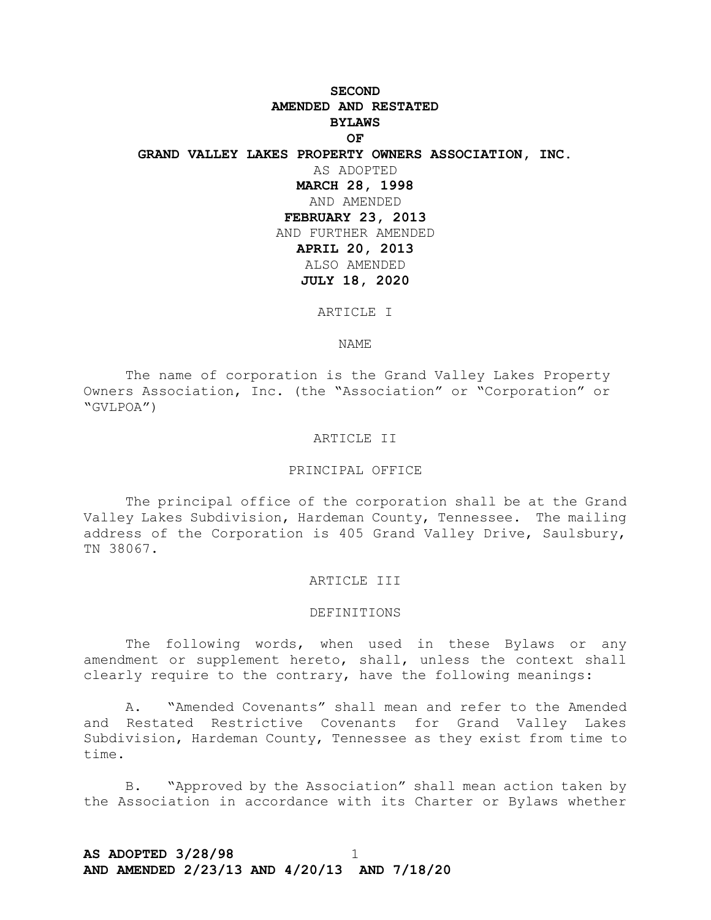# **SECOND AMENDED AND RESTATED BYLAWS OF GRAND VALLEY LAKES PROPERTY OWNERS ASSOCIATION, INC.** AS ADOPTED **MARCH 28, 1998** AND AMENDED **FEBRUARY 23, 2013** AND FURTHER AMENDED **APRIL 20, 2013** ALSO AMENDED **JULY 18, 2020**

ARTICLE I

NAME

The name of corporation is the Grand Valley Lakes Property Owners Association, Inc. (the "Association" or "Corporation" or "GVLPOA")

#### ARTICLE II

### PRINCIPAL OFFICE

The principal office of the corporation shall be at the Grand Valley Lakes Subdivision, Hardeman County, Tennessee. The mailing address of the Corporation is 405 Grand Valley Drive, Saulsbury, TN 38067.

#### ARTICLE III

## DEFINITIONS

The following words, when used in these Bylaws or any amendment or supplement hereto, shall, unless the context shall clearly require to the contrary, have the following meanings:

A. "Amended Covenants" shall mean and refer to the Amended and Restated Restrictive Covenants for Grand Valley Lakes Subdivision, Hardeman County, Tennessee as they exist from time to time.

B. "Approved by the Association" shall mean action taken by the Association in accordance with its Charter or Bylaws whether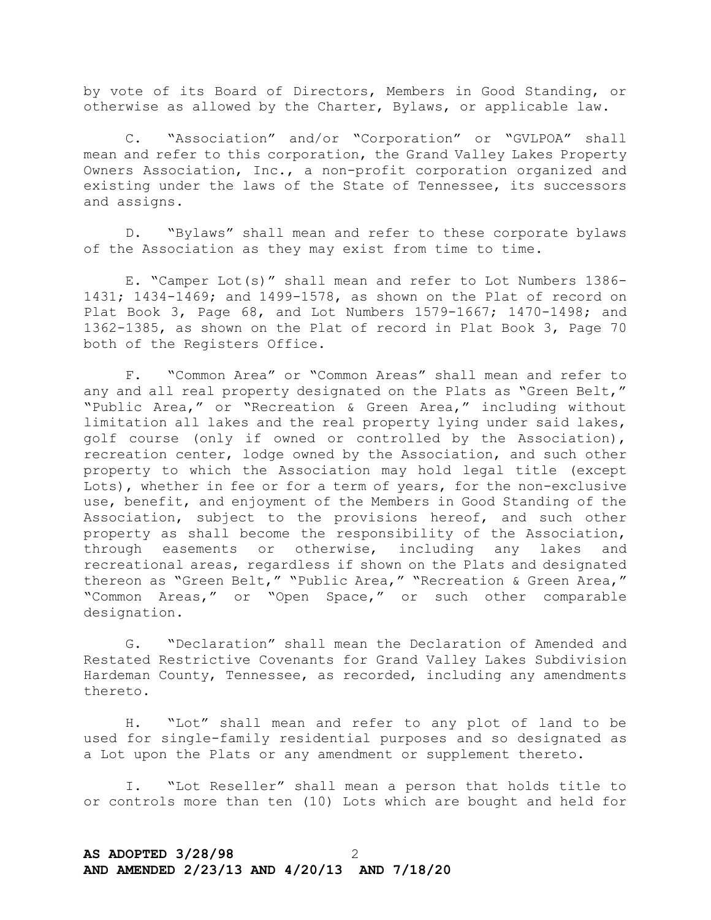by vote of its Board of Directors, Members in Good Standing, or otherwise as allowed by the Charter, Bylaws, or applicable law.

C. "Association" and/or "Corporation" or "GVLPOA" shall mean and refer to this corporation, the Grand Valley Lakes Property Owners Association, Inc., a non-profit corporation organized and existing under the laws of the State of Tennessee, its successors and assigns.

D. "Bylaws" shall mean and refer to these corporate bylaws of the Association as they may exist from time to time.

E. "Camper Lot(s)" shall mean and refer to Lot Numbers 1386- 1431; 1434-1469; and 1499-1578, as shown on the Plat of record on Plat Book 3, Page 68, and Lot Numbers 1579-1667; 1470-1498; and 1362-1385, as shown on the Plat of record in Plat Book 3, Page 70 both of the Registers Office.

F. "Common Area" or "Common Areas" shall mean and refer to any and all real property designated on the Plats as "Green Belt," "Public Area," or "Recreation & Green Area," including without limitation all lakes and the real property lying under said lakes, golf course (only if owned or controlled by the Association), recreation center, lodge owned by the Association, and such other property to which the Association may hold legal title (except Lots), whether in fee or for a term of years, for the non-exclusive use, benefit, and enjoyment of the Members in Good Standing of the Association, subject to the provisions hereof, and such other property as shall become the responsibility of the Association, through easements or otherwise, including any lakes and recreational areas, regardless if shown on the Plats and designated thereon as "Green Belt," "Public Area," "Recreation & Green Area," "Common Areas," or "Open Space," or such other comparable designation.

G. "Declaration" shall mean the Declaration of Amended and Restated Restrictive Covenants for Grand Valley Lakes Subdivision Hardeman County, Tennessee, as recorded, including any amendments thereto.

H. "Lot" shall mean and refer to any plot of land to be used for single-family residential purposes and so designated as a Lot upon the Plats or any amendment or supplement thereto.

I. "Lot Reseller" shall mean a person that holds title to or controls more than ten (10) Lots which are bought and held for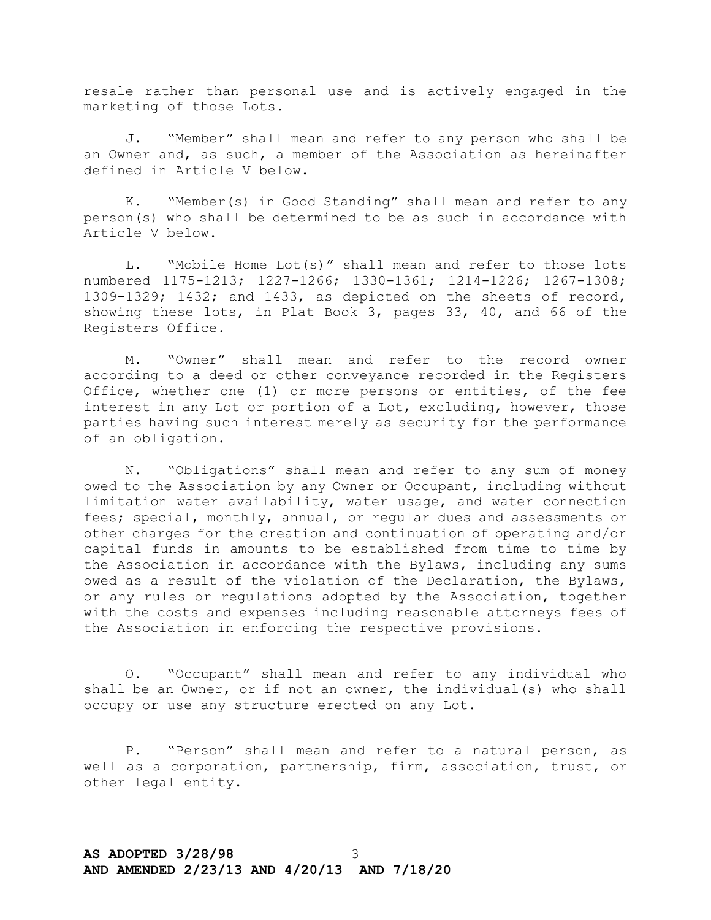resale rather than personal use and is actively engaged in the marketing of those Lots.

J. "Member" shall mean and refer to any person who shall be an Owner and, as such, a member of the Association as hereinafter defined in Article V below.

K. "Member(s) in Good Standing" shall mean and refer to any person(s) who shall be determined to be as such in accordance with Article V below.

L. "Mobile Home Lot(s)" shall mean and refer to those lots numbered 1175-1213; 1227-1266; 1330-1361; 1214-1226; 1267-1308; 1309-1329; 1432; and 1433, as depicted on the sheets of record, showing these lots, in Plat Book 3, pages 33, 40, and 66 of the Registers Office.

M. "Owner" shall mean and refer to the record owner according to a deed or other conveyance recorded in the Registers Office, whether one (1) or more persons or entities, of the fee interest in any Lot or portion of a Lot, excluding, however, those parties having such interest merely as security for the performance of an obligation.

N. "Obligations" shall mean and refer to any sum of money owed to the Association by any Owner or Occupant, including without limitation water availability, water usage, and water connection fees; special, monthly, annual, or regular dues and assessments or other charges for the creation and continuation of operating and/or capital funds in amounts to be established from time to time by the Association in accordance with the Bylaws, including any sums owed as a result of the violation of the Declaration, the Bylaws, or any rules or regulations adopted by the Association, together with the costs and expenses including reasonable attorneys fees of the Association in enforcing the respective provisions.

O. "Occupant" shall mean and refer to any individual who shall be an Owner, or if not an owner, the individual(s) who shall occupy or use any structure erected on any Lot.

P. "Person" shall mean and refer to a natural person, as well as a corporation, partnership, firm, association, trust, or other legal entity.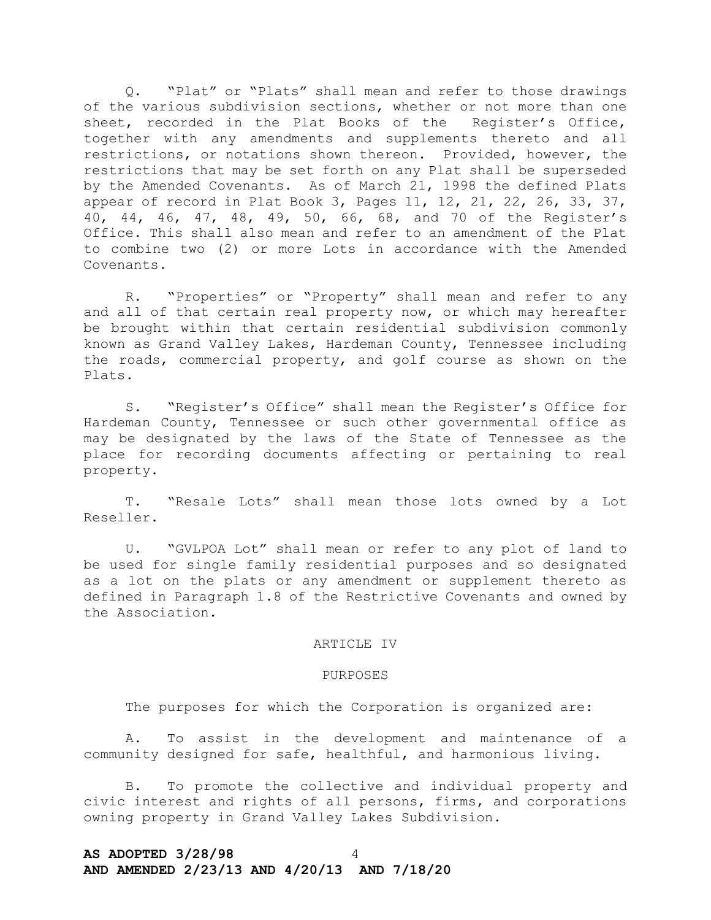Q. "Plat" or "Plats" shall mean and refer to those drawings of the various subdivision sections, whether or not more than one sheet, recorded in the Plat Books of the Register's Office, together with any amendments and supplements thereto and all restrictions, or notations shown thereon. Provided, however, the restrictions that may be set forth on any Plat shall be superseded by the Amended Covenants. As of March 21, 1998 the defined Plats appear of record in Plat Book 3, Pages 11, 12, 21, 22, 26, 33, 37, 40, 44, 46, 47, 48, 49, 50, 66, 68, and 70 of the Register's Office. This shall also mean and refer to an amendment of the Plat to combine two (2) or more Lots in accordance with the Amended Covenants.

R. "Properties" or "Property" shall mean and refer to any and all of that certain real property now, or which may hereafter be brought within that certain residential subdivision commonly known as Grand Valley Lakes, Hardeman County, Tennessee including the roads, commercial property, and golf course as shown on the Plats.

S. "Register's Office" shall mean the Register's Office for Hardeman County, Tennessee or such other governmental office as may be designated by the laws of the State of Tennessee as the place for recording documents affecting or pertaining to real property.

T. "Resale Lots" shall mean those lots owned by a Lot Reseller.

U. "GVLPOA Lot" shall mean or refer to any plot of land to be used for single family residential purposes and so designated as a lot on the plats or any amendment or supplement thereto as defined in Paragraph 1.8 of the Restrictive Covenants and owned by the Association.

## ARTICLE IV

## PURPOSES

The purposes for which the Corporation is organized are:

A. To assist in the development and maintenance of a community designed for safe, healthful, and harmonious living.

B. To promote the collective and individual property and civic interest and rights of all persons, firms, and corporations owning property in Grand Valley Lakes Subdivision.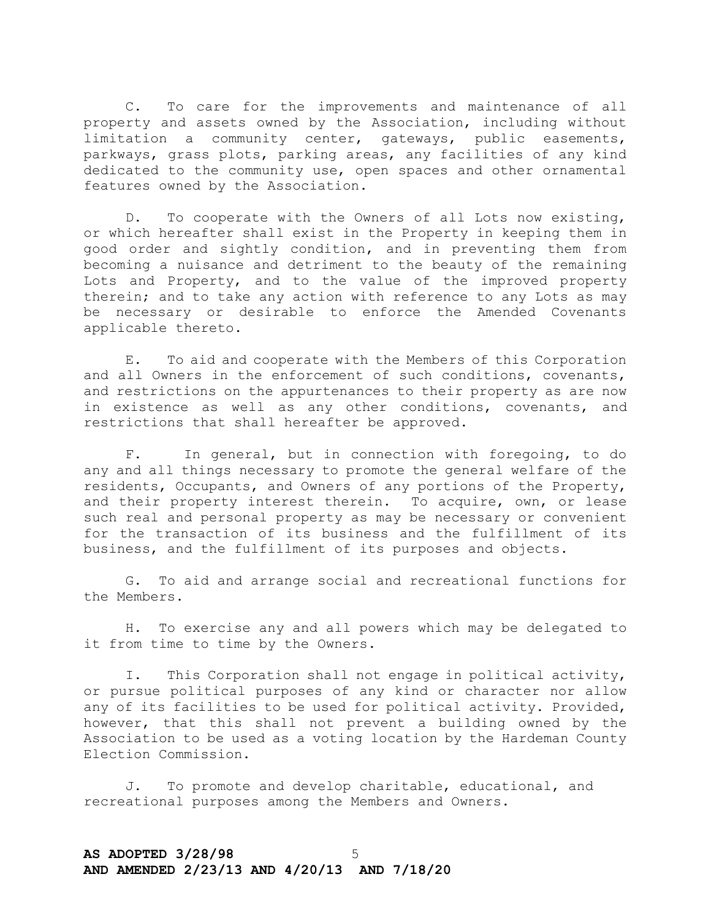C. To care for the improvements and maintenance of all property and assets owned by the Association, including without limitation a community center, gateways, public easements, parkways, grass plots, parking areas, any facilities of any kind dedicated to the community use, open spaces and other ornamental features owned by the Association.

D. To cooperate with the Owners of all Lots now existing, or which hereafter shall exist in the Property in keeping them in good order and sightly condition, and in preventing them from becoming a nuisance and detriment to the beauty of the remaining Lots and Property, and to the value of the improved property therein; and to take any action with reference to any Lots as may be necessary or desirable to enforce the Amended Covenants applicable thereto.

E. To aid and cooperate with the Members of this Corporation and all Owners in the enforcement of such conditions, covenants, and restrictions on the appurtenances to their property as are now in existence as well as any other conditions, covenants, and restrictions that shall hereafter be approved.

F. In general, but in connection with foregoing, to do any and all things necessary to promote the general welfare of the residents, Occupants, and Owners of any portions of the Property, and their property interest therein. To acquire, own, or lease such real and personal property as may be necessary or convenient for the transaction of its business and the fulfillment of its business, and the fulfillment of its purposes and objects.

G. To aid and arrange social and recreational functions for the Members.

H. To exercise any and all powers which may be delegated to it from time to time by the Owners.

I. This Corporation shall not engage in political activity, or pursue political purposes of any kind or character nor allow any of its facilities to be used for political activity. Provided, however, that this shall not prevent a building owned by the Association to be used as a voting location by the Hardeman County Election Commission.

J. To promote and develop charitable, educational, and recreational purposes among the Members and Owners.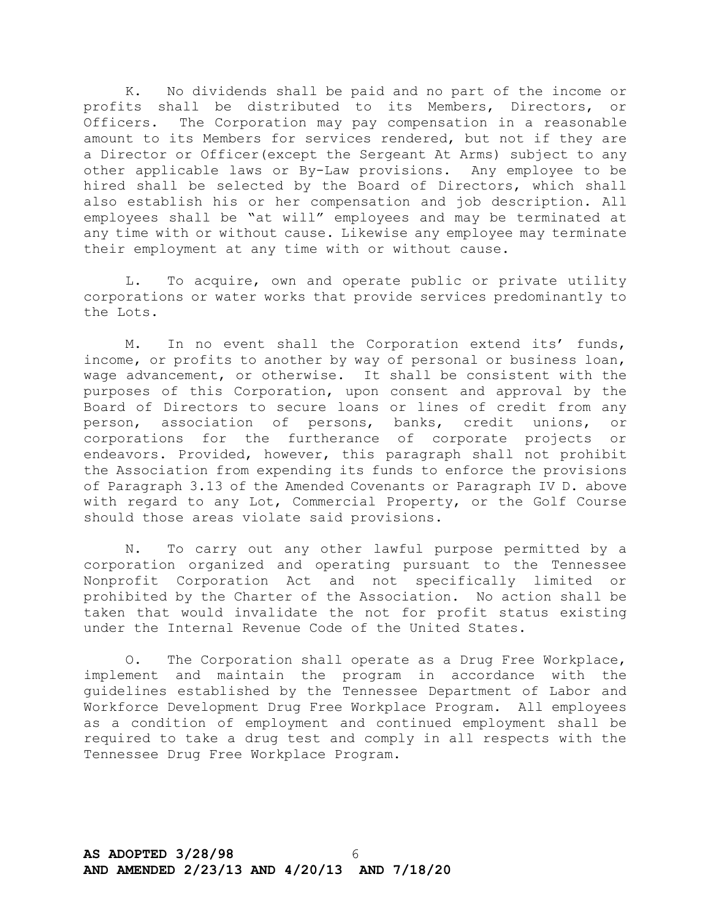K. No dividends shall be paid and no part of the income or profits shall be distributed to its Members, Directors, or Officers. The Corporation may pay compensation in a reasonable amount to its Members for services rendered, but not if they are a Director or Officer(except the Sergeant At Arms) subject to any other applicable laws or By-Law provisions. Any employee to be hired shall be selected by the Board of Directors, which shall also establish his or her compensation and job description. All employees shall be "at will" employees and may be terminated at any time with or without cause. Likewise any employee may terminate their employment at any time with or without cause.

L. To acquire, own and operate public or private utility corporations or water works that provide services predominantly to the Lots.

M. In no event shall the Corporation extend its' funds, income, or profits to another by way of personal or business loan, wage advancement, or otherwise. It shall be consistent with the purposes of this Corporation, upon consent and approval by the Board of Directors to secure loans or lines of credit from any person, association of persons, banks, credit unions, or corporations for the furtherance of corporate projects or endeavors. Provided, however, this paragraph shall not prohibit the Association from expending its funds to enforce the provisions of Paragraph 3.13 of the Amended Covenants or Paragraph IV D. above with regard to any Lot, Commercial Property, or the Golf Course should those areas violate said provisions.

N. To carry out any other lawful purpose permitted by a corporation organized and operating pursuant to the Tennessee Nonprofit Corporation Act and not specifically limited or prohibited by the Charter of the Association. No action shall be taken that would invalidate the not for profit status existing under the Internal Revenue Code of the United States.

O. The Corporation shall operate as a Drug Free Workplace, implement and maintain the program in accordance with the guidelines established by the Tennessee Department of Labor and Workforce Development Drug Free Workplace Program. All employees as a condition of employment and continued employment shall be required to take a drug test and comply in all respects with the Tennessee Drug Free Workplace Program.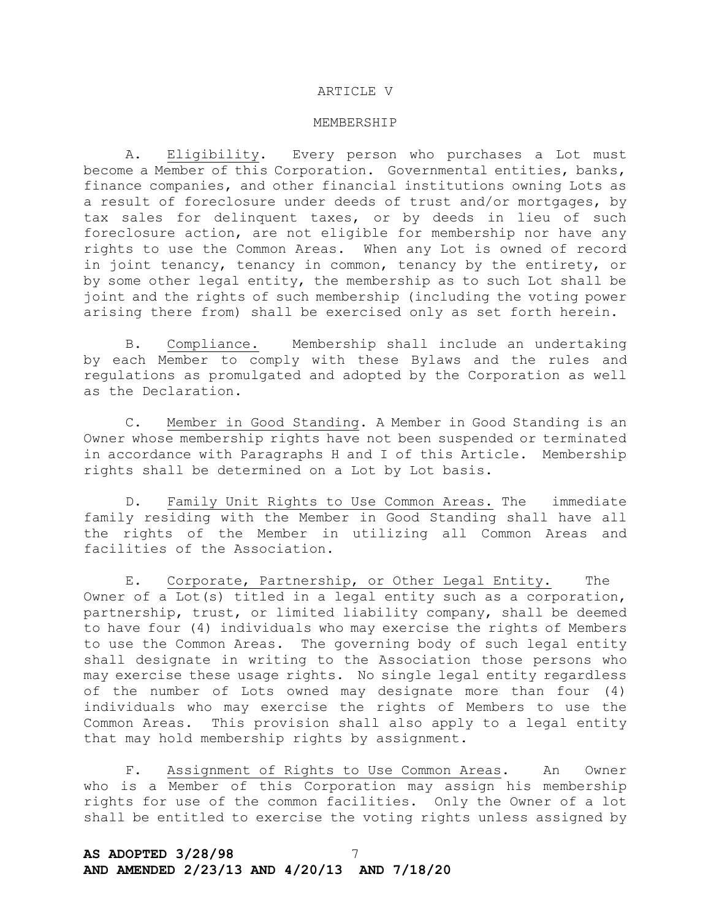### ARTICLE V

#### MEMBERSHIP

A. Eligibility. Every person who purchases a Lot must become a Member of this Corporation. Governmental entities, banks, finance companies, and other financial institutions owning Lots as a result of foreclosure under deeds of trust and/or mortgages, by tax sales for delinquent taxes, or by deeds in lieu of such foreclosure action, are not eligible for membership nor have any rights to use the Common Areas. When any Lot is owned of record in joint tenancy, tenancy in common, tenancy by the entirety, or by some other legal entity, the membership as to such Lot shall be joint and the rights of such membership (including the voting power arising there from) shall be exercised only as set forth herein.

B. Compliance. Membership shall include an undertaking by each Member to comply with these Bylaws and the rules and regulations as promulgated and adopted by the Corporation as well as the Declaration.

C. Member in Good Standing. A Member in Good Standing is an Owner whose membership rights have not been suspended or terminated in accordance with Paragraphs H and I of this Article. Membership rights shall be determined on a Lot by Lot basis.

D. Family Unit Rights to Use Common Areas. The immediate family residing with the Member in Good Standing shall have all the rights of the Member in utilizing all Common Areas and facilities of the Association.

E. Corporate, Partnership, or Other Legal Entity. The Owner of a Lot(s) titled in a legal entity such as a corporation, partnership, trust, or limited liability company, shall be deemed to have four (4) individuals who may exercise the rights of Members to use the Common Areas. The governing body of such legal entity shall designate in writing to the Association those persons who may exercise these usage rights. No single legal entity regardless of the number of Lots owned may designate more than four (4) individuals who may exercise the rights of Members to use the Common Areas. This provision shall also apply to a legal entity that may hold membership rights by assignment.

F. Assignment of Rights to Use Common Areas. An Owner who is a Member of this Corporation may assign his membership rights for use of the common facilities. Only the Owner of a lot shall be entitled to exercise the voting rights unless assigned by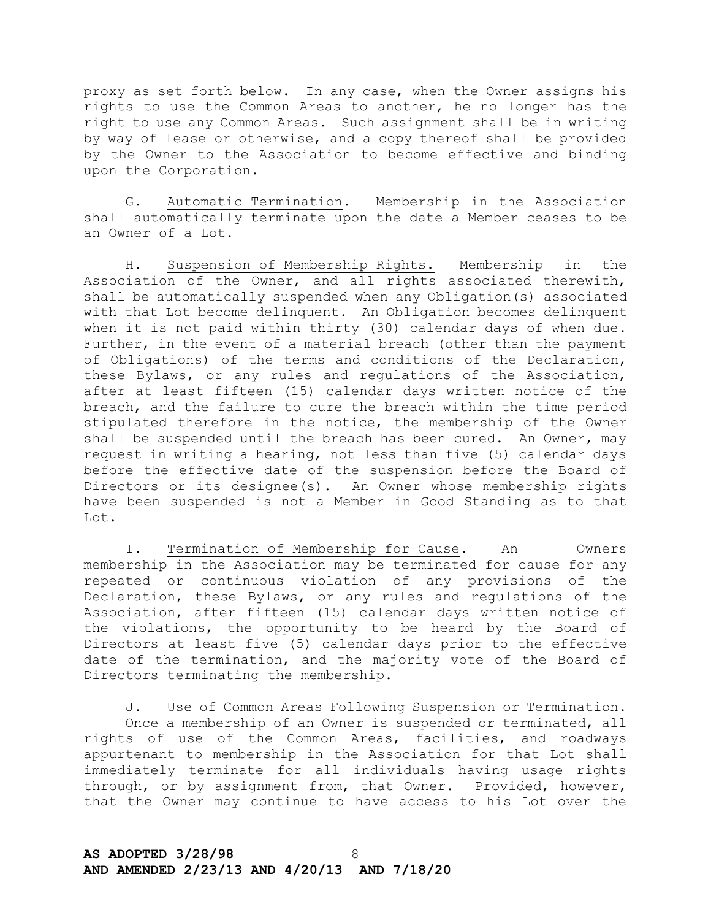proxy as set forth below. In any case, when the Owner assigns his rights to use the Common Areas to another, he no longer has the right to use any Common Areas. Such assignment shall be in writing by way of lease or otherwise, and a copy thereof shall be provided by the Owner to the Association to become effective and binding upon the Corporation.

G. Automatic Termination. Membership in the Association shall automatically terminate upon the date a Member ceases to be an Owner of a Lot.

H. Suspension of Membership Rights. Membership in the Association of the Owner, and all rights associated therewith, shall be automatically suspended when any Obligation(s) associated with that Lot become delinquent. An Obligation becomes delinquent when it is not paid within thirty (30) calendar days of when due. Further, in the event of a material breach (other than the payment of Obligations) of the terms and conditions of the Declaration, these Bylaws, or any rules and regulations of the Association, after at least fifteen (15) calendar days written notice of the breach, and the failure to cure the breach within the time period stipulated therefore in the notice, the membership of the Owner shall be suspended until the breach has been cured. An Owner, may request in writing a hearing, not less than five (5) calendar days before the effective date of the suspension before the Board of Directors or its designee(s). An Owner whose membership rights have been suspended is not a Member in Good Standing as to that Lot.

I. Termination of Membership for Cause. An Owners membership in the Association may be terminated for cause for any repeated or continuous violation of any provisions of the Declaration, these Bylaws, or any rules and regulations of the Association, after fifteen (15) calendar days written notice of the violations, the opportunity to be heard by the Board of Directors at least five (5) calendar days prior to the effective date of the termination, and the majority vote of the Board of Directors terminating the membership.

J. Use of Common Areas Following Suspension or Termination. Once a membership of an Owner is suspended or terminated, all rights of use of the Common Areas, facilities, and roadways appurtenant to membership in the Association for that Lot shall immediately terminate for all individuals having usage rights through, or by assignment from, that Owner. Provided, however, that the Owner may continue to have access to his Lot over the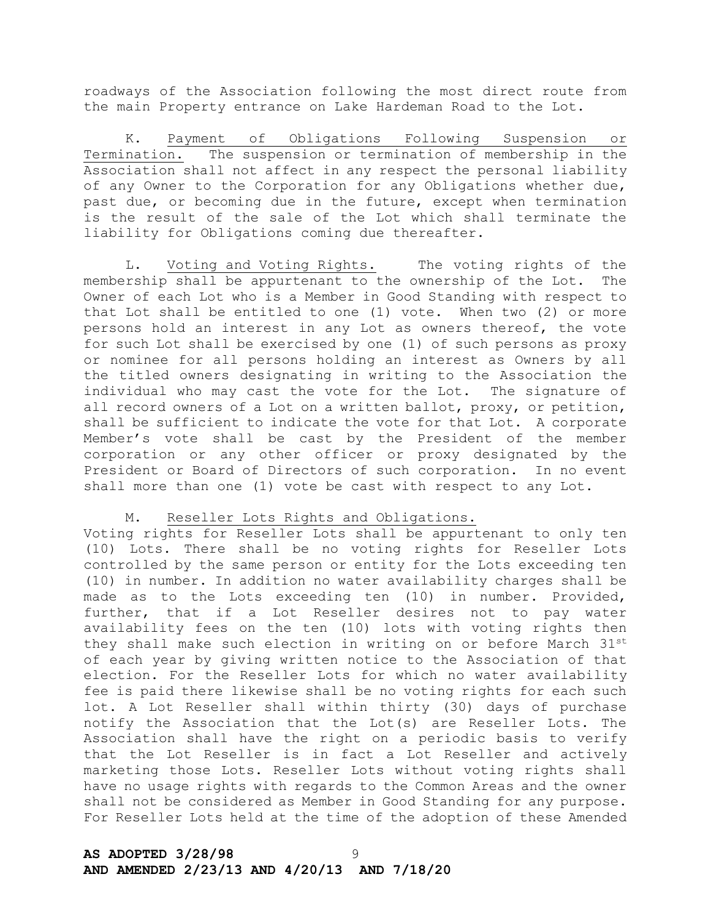roadways of the Association following the most direct route from the main Property entrance on Lake Hardeman Road to the Lot.

K. Payment of Obligations Following Suspension or Termination. The suspension or termination of membership in the Association shall not affect in any respect the personal liability of any Owner to the Corporation for any Obligations whether due, past due, or becoming due in the future, except when termination is the result of the sale of the Lot which shall terminate the liability for Obligations coming due thereafter.

L. Voting and Voting Rights. The voting rights of the membership shall be appurtenant to the ownership of the Lot. The Owner of each Lot who is a Member in Good Standing with respect to that Lot shall be entitled to one (1) vote. When two (2) or more persons hold an interest in any Lot as owners thereof, the vote for such Lot shall be exercised by one (1) of such persons as proxy or nominee for all persons holding an interest as Owners by all the titled owners designating in writing to the Association the individual who may cast the vote for the Lot. The signature of all record owners of a Lot on a written ballot, proxy, or petition, shall be sufficient to indicate the vote for that Lot. A corporate Member's vote shall be cast by the President of the member corporation or any other officer or proxy designated by the President or Board of Directors of such corporation. In no event shall more than one (1) vote be cast with respect to any Lot.

## M. Reseller Lots Rights and Obligations.

Voting rights for Reseller Lots shall be appurtenant to only ten (10) Lots. There shall be no voting rights for Reseller Lots controlled by the same person or entity for the Lots exceeding ten (10) in number. In addition no water availability charges shall be made as to the Lots exceeding ten (10) in number. Provided, further, that if a Lot Reseller desires not to pay water availability fees on the ten (10) lots with voting rights then they shall make such election in writing on or before March 31st of each year by giving written notice to the Association of that election. For the Reseller Lots for which no water availability fee is paid there likewise shall be no voting rights for each such lot. A Lot Reseller shall within thirty (30) days of purchase notify the Association that the Lot(s) are Reseller Lots. The Association shall have the right on a periodic basis to verify that the Lot Reseller is in fact a Lot Reseller and actively marketing those Lots. Reseller Lots without voting rights shall have no usage rights with regards to the Common Areas and the owner shall not be considered as Member in Good Standing for any purpose. For Reseller Lots held at the time of the adoption of these Amended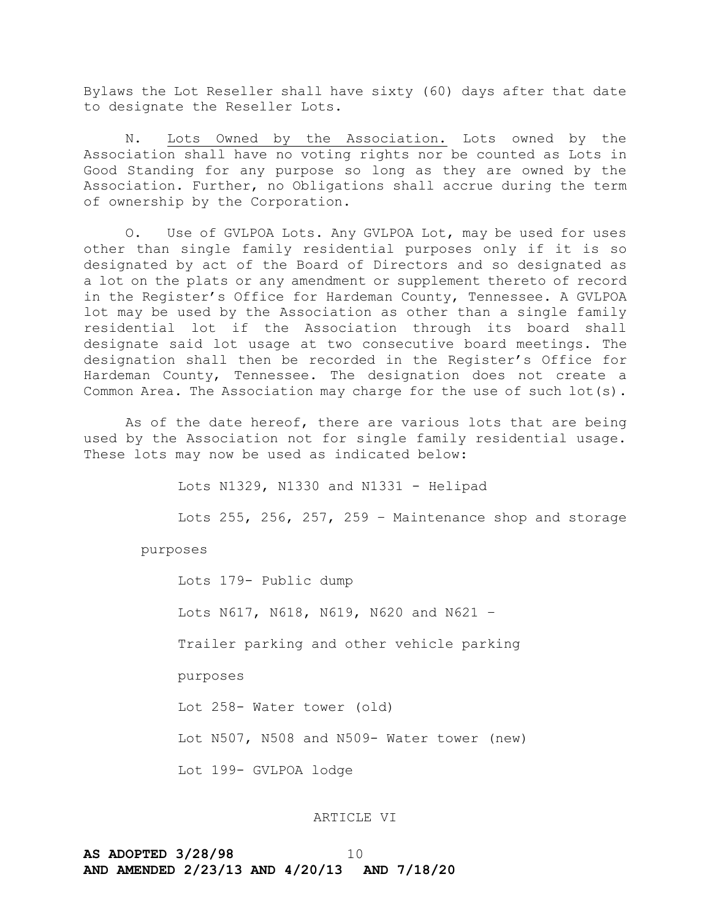Bylaws the Lot Reseller shall have sixty (60) days after that date to designate the Reseller Lots.

N. Lots Owned by the Association. Lots owned by the Association shall have no voting rights nor be counted as Lots in Good Standing for any purpose so long as they are owned by the Association. Further, no Obligations shall accrue during the term of ownership by the Corporation.

O. Use of GVLPOA Lots. Any GVLPOA Lot, may be used for uses other than single family residential purposes only if it is so designated by act of the Board of Directors and so designated as a lot on the plats or any amendment or supplement thereto of record in the Register's Office for Hardeman County, Tennessee. A GVLPOA lot may be used by the Association as other than a single family residential lot if the Association through its board shall designate said lot usage at two consecutive board meetings. The designation shall then be recorded in the Register's Office for Hardeman County, Tennessee. The designation does not create a Common Area. The Association may charge for the use of such lot(s).

As of the date hereof, there are various lots that are being used by the Association not for single family residential usage. These lots may now be used as indicated below:

Lots N1329, N1330 and N1331 - Helipad

Lots 255, 256, 257, 259 – Maintenance shop and storage

purposes

Lots 179- Public dump Lots N617, N618, N619, N620 and N621 – Trailer parking and other vehicle parking purposes Lot 258- Water tower (old) Lot N507, N508 and N509- Water tower (new) Lot 199- GVLPOA lodge

ARTICLE VI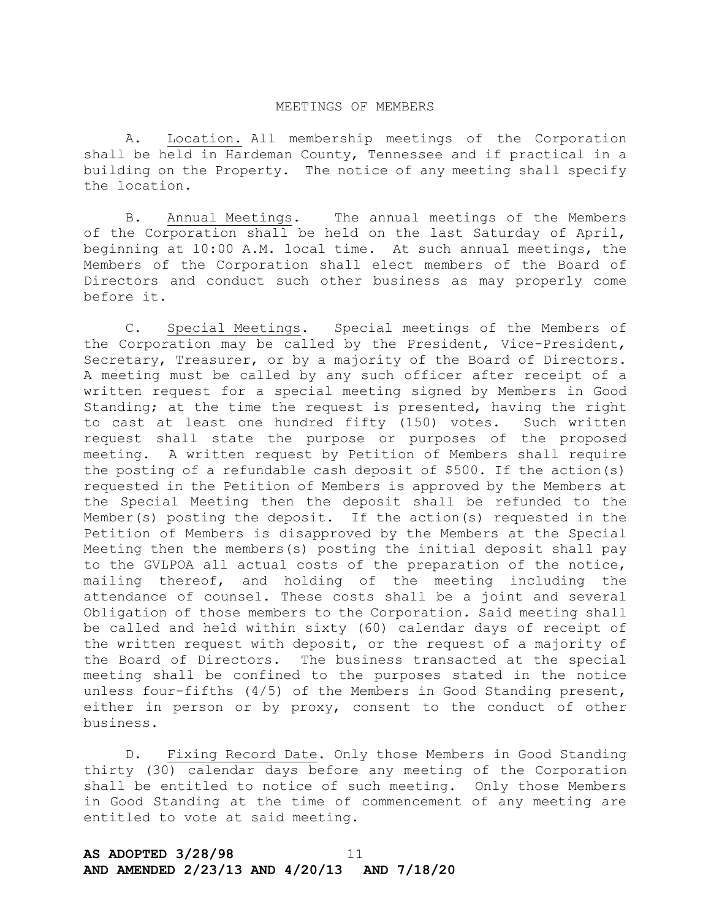#### MEETINGS OF MEMBERS

A. Location. All membership meetings of the Corporation shall be held in Hardeman County, Tennessee and if practical in a building on the Property. The notice of any meeting shall specify the location.

B. Annual Meetings. The annual meetings of the Members of the Corporation shall be held on the last Saturday of April, beginning at 10:00 A.M. local time. At such annual meetings, the Members of the Corporation shall elect members of the Board of Directors and conduct such other business as may properly come before it.

C. Special Meetings. Special meetings of the Members of the Corporation may be called by the President, Vice-President, Secretary, Treasurer, or by a majority of the Board of Directors. A meeting must be called by any such officer after receipt of a written request for a special meeting signed by Members in Good Standing; at the time the request is presented, having the right to cast at least one hundred fifty (150) votes. Such written request shall state the purpose or purposes of the proposed meeting. A written request by Petition of Members shall require the posting of a refundable cash deposit of \$500. If the action(s) requested in the Petition of Members is approved by the Members at the Special Meeting then the deposit shall be refunded to the Member(s) posting the deposit. If the action(s) requested in the Petition of Members is disapproved by the Members at the Special Meeting then the members(s) posting the initial deposit shall pay to the GVLPOA all actual costs of the preparation of the notice, mailing thereof, and holding of the meeting including the attendance of counsel. These costs shall be a joint and several Obligation of those members to the Corporation. Said meeting shall be called and held within sixty (60) calendar days of receipt of the written request with deposit, or the request of a majority of the Board of Directors. The business transacted at the special meeting shall be confined to the purposes stated in the notice unless four-fifths (4/5) of the Members in Good Standing present, either in person or by proxy, consent to the conduct of other business.

D. Fixing Record Date. Only those Members in Good Standing thirty (30) calendar days before any meeting of the Corporation shall be entitled to notice of such meeting. Only those Members in Good Standing at the time of commencement of any meeting are entitled to vote at said meeting.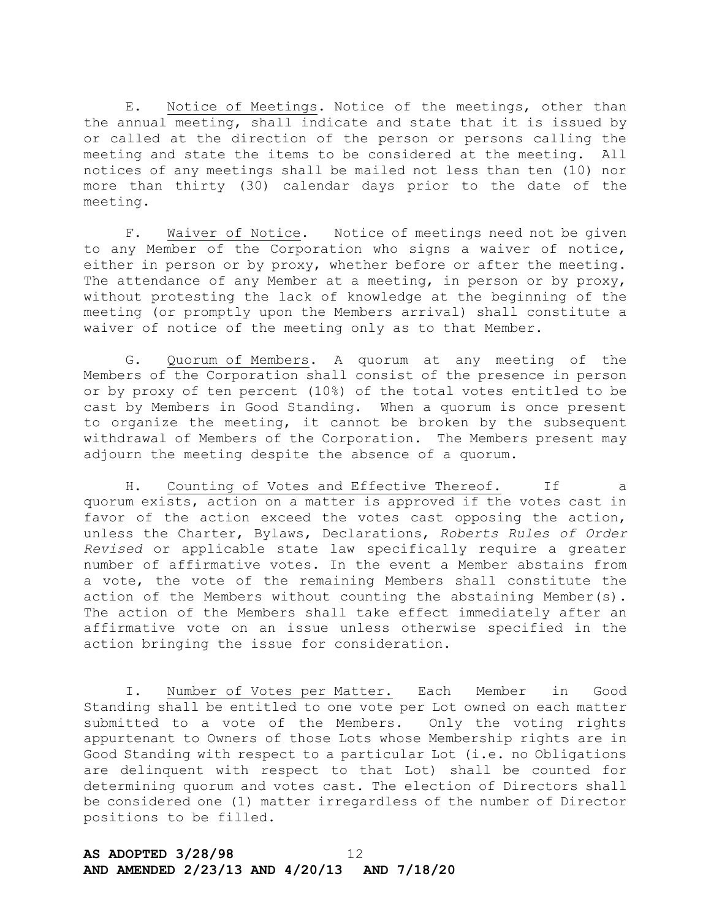E. Notice of Meetings. Notice of the meetings, other than the annual meeting, shall indicate and state that it is issued by or called at the direction of the person or persons calling the meeting and state the items to be considered at the meeting. All notices of any meetings shall be mailed not less than ten (10) nor more than thirty (30) calendar days prior to the date of the meeting.

F. Waiver of Notice. Notice of meetings need not be given to any Member of the Corporation who signs a waiver of notice, either in person or by proxy, whether before or after the meeting. The attendance of any Member at a meeting, in person or by proxy, without protesting the lack of knowledge at the beginning of the meeting (or promptly upon the Members arrival) shall constitute a waiver of notice of the meeting only as to that Member.

G. Quorum of Members. A quorum at any meeting of the Members of the Corporation shall consist of the presence in person or by proxy of ten percent (10%) of the total votes entitled to be cast by Members in Good Standing. When a quorum is once present to organize the meeting, it cannot be broken by the subsequent withdrawal of Members of the Corporation. The Members present may adjourn the meeting despite the absence of a quorum.

H. Counting of Votes and Effective Thereof. If a quorum exists, action on a matter is approved if the votes cast in favor of the action exceed the votes cast opposing the action, unless the Charter, Bylaws, Declarations, *Roberts Rules of Order Revised* or applicable state law specifically require a greater number of affirmative votes. In the event a Member abstains from a vote, the vote of the remaining Members shall constitute the action of the Members without counting the abstaining Member(s). The action of the Members shall take effect immediately after an affirmative vote on an issue unless otherwise specified in the action bringing the issue for consideration.

I. Number of Votes per Matter. Each Member in Good Standing shall be entitled to one vote per Lot owned on each matter submitted to a vote of the Members. Only the voting rights appurtenant to Owners of those Lots whose Membership rights are in Good Standing with respect to a particular Lot (i.e. no Obligations are delinquent with respect to that Lot) shall be counted for determining quorum and votes cast. The election of Directors shall be considered one (1) matter irregardless of the number of Director positions to be filled.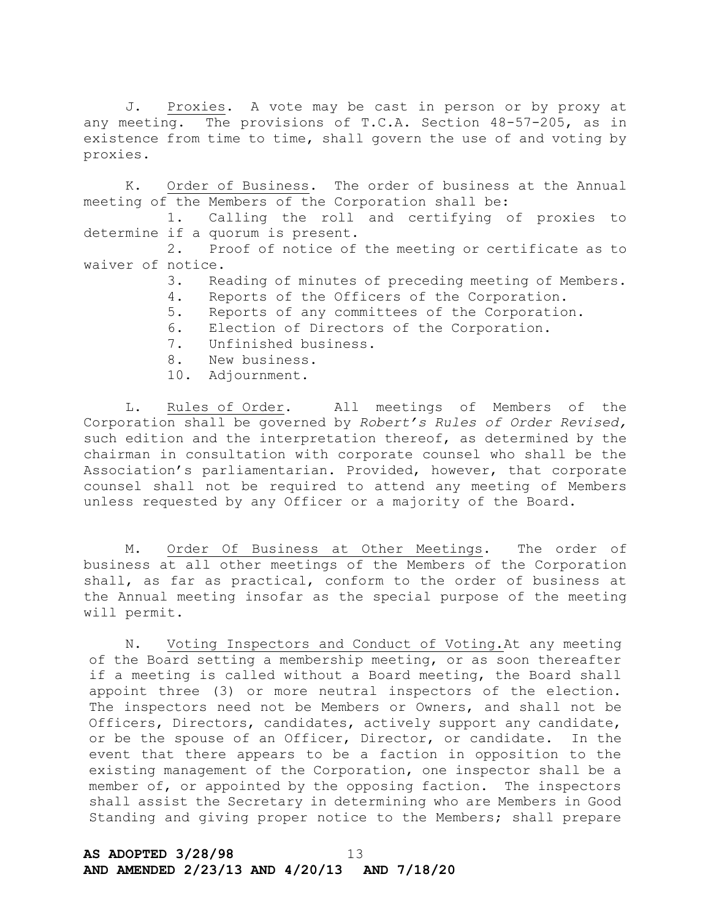J. Proxies. A vote may be cast in person or by proxy at any meeting. The provisions of T.C.A. Section 48-57-205, as in existence from time to time, shall govern the use of and voting by proxies.

K. Order of Business. The order of business at the Annual meeting of the Members of the Corporation shall be:

1. Calling the roll and certifying of proxies to determine if a quorum is present.

2. Proof of notice of the meeting or certificate as to waiver of notice.

- 3. Reading of minutes of preceding meeting of Members.
- 4. Reports of the Officers of the Corporation.
- 5. Reports of any committees of the Corporation.
- 6. Election of Directors of the Corporation.
- 7. Unfinished business.
- 8. New business.
- 10. Adjournment.

L. Rules of Order. All meetings of Members of the Corporation shall be governed by *Robert's Rules of Order Revised,* such edition and the interpretation thereof, as determined by the chairman in consultation with corporate counsel who shall be the Association's parliamentarian. Provided, however, that corporate counsel shall not be required to attend any meeting of Members unless requested by any Officer or a majority of the Board.

M. Order Of Business at Other Meetings. The order of business at all other meetings of the Members of the Corporation shall, as far as practical, conform to the order of business at the Annual meeting insofar as the special purpose of the meeting will permit.

N. Voting Inspectors and Conduct of Voting.At any meeting of the Board setting a membership meeting, or as soon thereafter if a meeting is called without a Board meeting, the Board shall appoint three (3) or more neutral inspectors of the election. The inspectors need not be Members or Owners, and shall not be Officers, Directors, candidates, actively support any candidate, or be the spouse of an Officer, Director, or candidate. In the event that there appears to be a faction in opposition to the existing management of the Corporation, one inspector shall be a member of, or appointed by the opposing faction. The inspectors shall assist the Secretary in determining who are Members in Good Standing and giving proper notice to the Members; shall prepare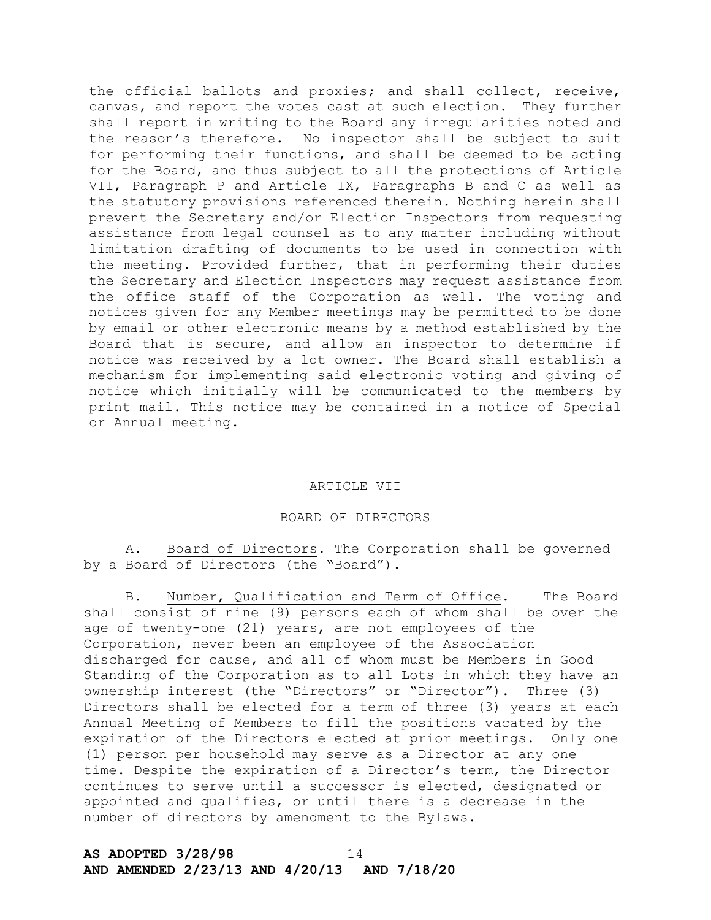the official ballots and proxies; and shall collect, receive, canvas, and report the votes cast at such election. They further shall report in writing to the Board any irregularities noted and the reason's therefore. No inspector shall be subject to suit for performing their functions, and shall be deemed to be acting for the Board, and thus subject to all the protections of Article VII, Paragraph P and Article IX, Paragraphs B and C as well as the statutory provisions referenced therein. Nothing herein shall prevent the Secretary and/or Election Inspectors from requesting assistance from legal counsel as to any matter including without limitation drafting of documents to be used in connection with the meeting. Provided further, that in performing their duties the Secretary and Election Inspectors may request assistance from the office staff of the Corporation as well. The voting and notices given for any Member meetings may be permitted to be done by email or other electronic means by a method established by the Board that is secure, and allow an inspector to determine if notice was received by a lot owner. The Board shall establish a mechanism for implementing said electronic voting and giving of notice which initially will be communicated to the members by print mail. This notice may be contained in a notice of Special or Annual meeting.

## ARTICLE VII

## BOARD OF DIRECTORS

A. Board of Directors. The Corporation shall be governed by a Board of Directors (the "Board").

B. Number, Qualification and Term of Office. The Board shall consist of nine (9) persons each of whom shall be over the age of twenty-one (21) years, are not employees of the Corporation, never been an employee of the Association discharged for cause, and all of whom must be Members in Good Standing of the Corporation as to all Lots in which they have an ownership interest (the "Directors" or "Director"). Three (3) Directors shall be elected for a term of three (3) years at each Annual Meeting of Members to fill the positions vacated by the expiration of the Directors elected at prior meetings. Only one (1) person per household may serve as a Director at any one time. Despite the expiration of a Director's term, the Director continues to serve until a successor is elected, designated or appointed and qualifies, or until there is a decrease in the number of directors by amendment to the Bylaws.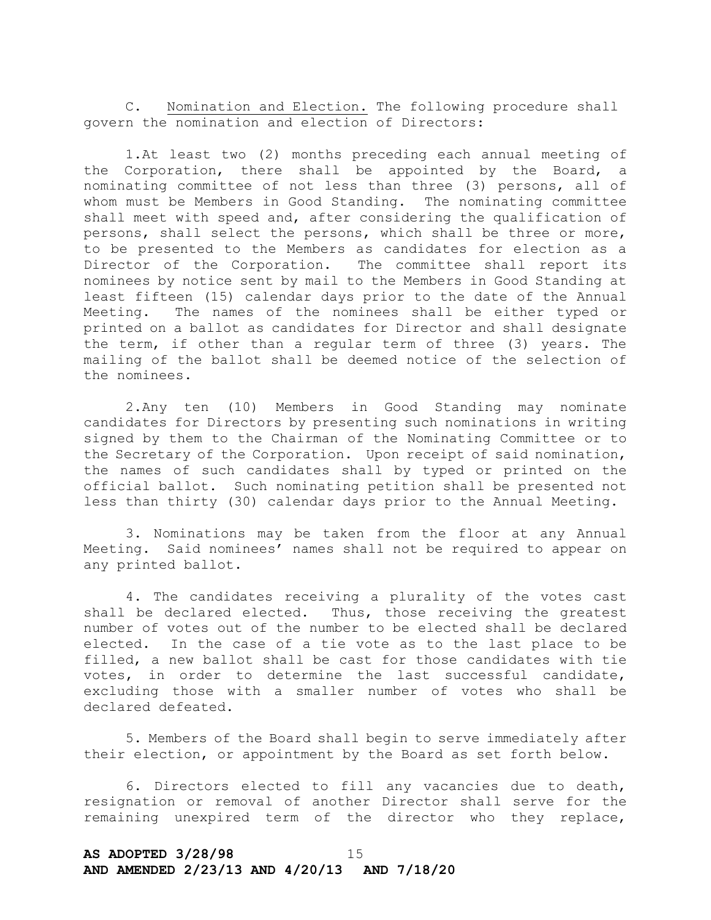C. Nomination and Election. The following procedure shall govern the nomination and election of Directors:

1.At least two (2) months preceding each annual meeting of the Corporation, there shall be appointed by the Board, a nominating committee of not less than three (3) persons, all of whom must be Members in Good Standing. The nominating committee shall meet with speed and, after considering the qualification of persons, shall select the persons, which shall be three or more, to be presented to the Members as candidates for election as a Director of the Corporation. The committee shall report its nominees by notice sent by mail to the Members in Good Standing at least fifteen (15) calendar days prior to the date of the Annual Meeting. The names of the nominees shall be either typed or printed on a ballot as candidates for Director and shall designate the term, if other than a regular term of three (3) years. The mailing of the ballot shall be deemed notice of the selection of the nominees.

2.Any ten (10) Members in Good Standing may nominate candidates for Directors by presenting such nominations in writing signed by them to the Chairman of the Nominating Committee or to the Secretary of the Corporation. Upon receipt of said nomination, the names of such candidates shall by typed or printed on the official ballot. Such nominating petition shall be presented not less than thirty (30) calendar days prior to the Annual Meeting.

3. Nominations may be taken from the floor at any Annual Meeting. Said nominees' names shall not be required to appear on any printed ballot.

4. The candidates receiving a plurality of the votes cast shall be declared elected. Thus, those receiving the greatest number of votes out of the number to be elected shall be declared elected. In the case of a tie vote as to the last place to be filled, a new ballot shall be cast for those candidates with tie votes, in order to determine the last successful candidate, excluding those with a smaller number of votes who shall be declared defeated.

5. Members of the Board shall begin to serve immediately after their election, or appointment by the Board as set forth below.

6. Directors elected to fill any vacancies due to death, resignation or removal of another Director shall serve for the remaining unexpired term of the director who they replace,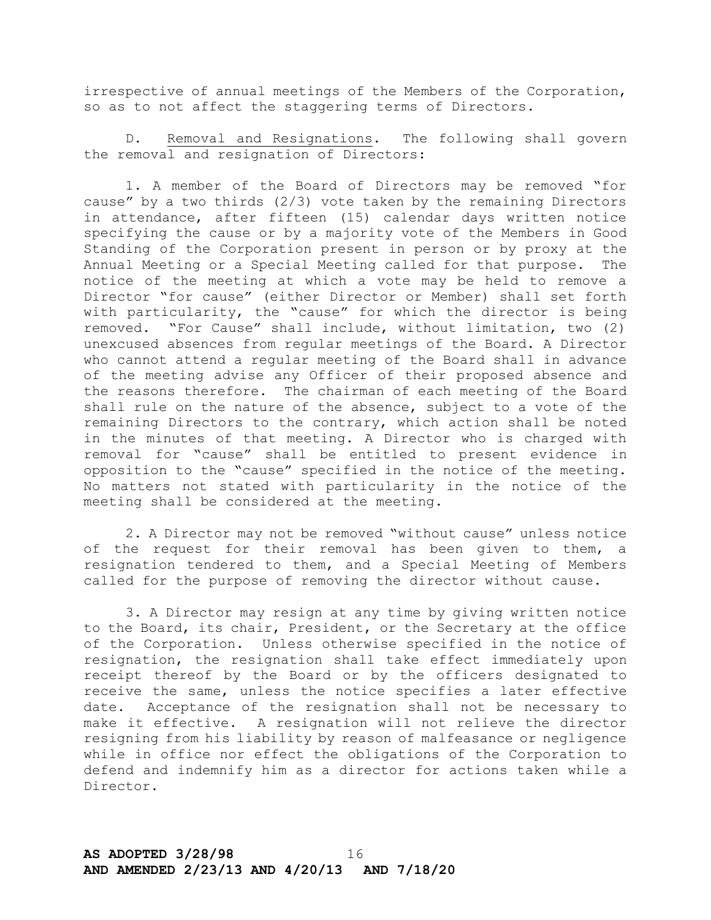irrespective of annual meetings of the Members of the Corporation, so as to not affect the staggering terms of Directors.

D. Removal and Resignations. The following shall govern the removal and resignation of Directors:

1. A member of the Board of Directors may be removed "for cause" by a two thirds (2/3) vote taken by the remaining Directors in attendance, after fifteen (15) calendar days written notice specifying the cause or by a majority vote of the Members in Good Standing of the Corporation present in person or by proxy at the Annual Meeting or a Special Meeting called for that purpose. The notice of the meeting at which a vote may be held to remove a Director "for cause" (either Director or Member) shall set forth with particularity, the "cause" for which the director is being removed. "For Cause" shall include, without limitation, two (2) unexcused absences from regular meetings of the Board. A Director who cannot attend a regular meeting of the Board shall in advance of the meeting advise any Officer of their proposed absence and the reasons therefore. The chairman of each meeting of the Board shall rule on the nature of the absence, subject to a vote of the remaining Directors to the contrary, which action shall be noted in the minutes of that meeting. A Director who is charged with removal for "cause" shall be entitled to present evidence in opposition to the "cause" specified in the notice of the meeting. No matters not stated with particularity in the notice of the meeting shall be considered at the meeting.

2. A Director may not be removed "without cause" unless notice of the request for their removal has been given to them, a resignation tendered to them, and a Special Meeting of Members called for the purpose of removing the director without cause.

3. A Director may resign at any time by giving written notice to the Board, its chair, President, or the Secretary at the office of the Corporation. Unless otherwise specified in the notice of resignation, the resignation shall take effect immediately upon receipt thereof by the Board or by the officers designated to receive the same, unless the notice specifies a later effective date. Acceptance of the resignation shall not be necessary to make it effective. A resignation will not relieve the director resigning from his liability by reason of malfeasance or negligence while in office nor effect the obligations of the Corporation to defend and indemnify him as a director for actions taken while a Director.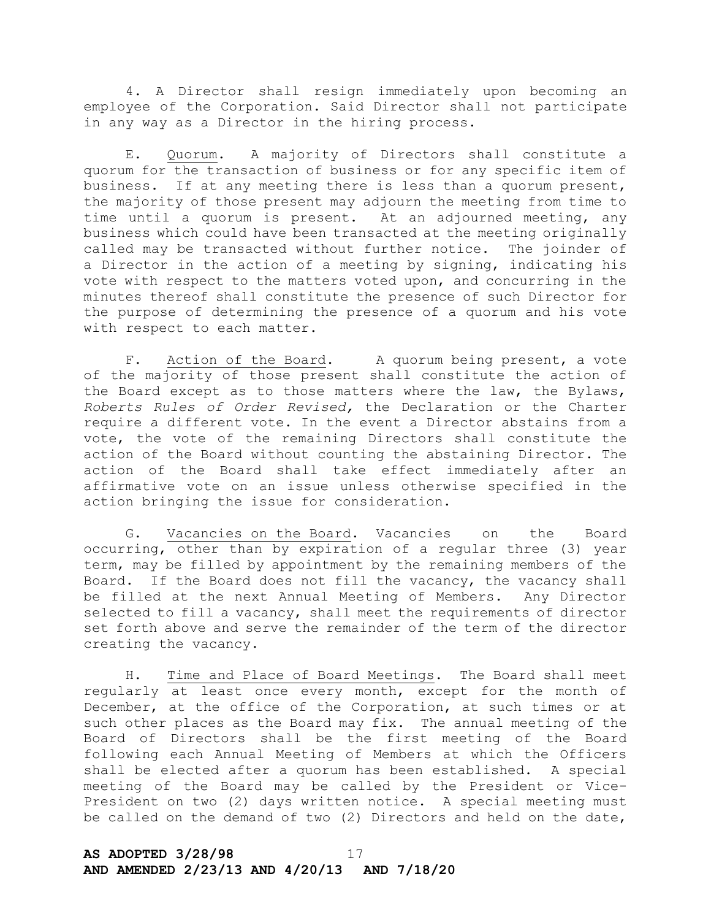4. A Director shall resign immediately upon becoming an employee of the Corporation. Said Director shall not participate in any way as a Director in the hiring process.

E. Quorum. A majority of Directors shall constitute a quorum for the transaction of business or for any specific item of business. If at any meeting there is less than a quorum present, the majority of those present may adjourn the meeting from time to time until a quorum is present. At an adjourned meeting, any business which could have been transacted at the meeting originally called may be transacted without further notice. The joinder of a Director in the action of a meeting by signing, indicating his vote with respect to the matters voted upon, and concurring in the minutes thereof shall constitute the presence of such Director for the purpose of determining the presence of a quorum and his vote with respect to each matter.

F. Action of the Board. A quorum being present, a vote of the majority of those present shall constitute the action of the Board except as to those matters where the law, the Bylaws, *Roberts Rules of Order Revised,* the Declaration or the Charter require a different vote. In the event a Director abstains from a vote, the vote of the remaining Directors shall constitute the action of the Board without counting the abstaining Director. The action of the Board shall take effect immediately after an affirmative vote on an issue unless otherwise specified in the action bringing the issue for consideration.

G. Vacancies on the Board. Vacancies on the Board occurring, other than by expiration of a regular three (3) year term, may be filled by appointment by the remaining members of the Board. If the Board does not fill the vacancy, the vacancy shall be filled at the next Annual Meeting of Members. Any Director selected to fill a vacancy, shall meet the requirements of director set forth above and serve the remainder of the term of the director creating the vacancy.

H. Time and Place of Board Meetings. The Board shall meet regularly at least once every month, except for the month of December, at the office of the Corporation, at such times or at such other places as the Board may fix. The annual meeting of the Board of Directors shall be the first meeting of the Board following each Annual Meeting of Members at which the Officers shall be elected after a quorum has been established. A special meeting of the Board may be called by the President or Vice-President on two (2) days written notice. A special meeting must be called on the demand of two (2) Directors and held on the date,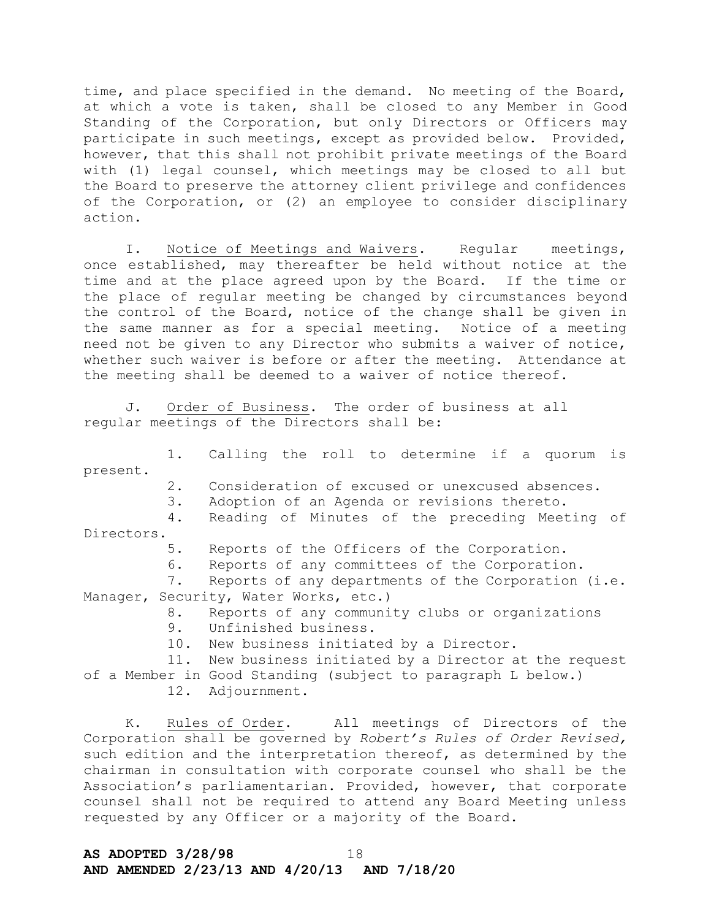time, and place specified in the demand. No meeting of the Board, at which a vote is taken, shall be closed to any Member in Good Standing of the Corporation, but only Directors or Officers may participate in such meetings, except as provided below. Provided, however, that this shall not prohibit private meetings of the Board with (1) legal counsel, which meetings may be closed to all but the Board to preserve the attorney client privilege and confidences of the Corporation, or (2) an employee to consider disciplinary action.

I. Notice of Meetings and Waivers. Regular meetings, once established, may thereafter be held without notice at the time and at the place agreed upon by the Board. If the time or the place of regular meeting be changed by circumstances beyond the control of the Board, notice of the change shall be given in the same manner as for a special meeting. Notice of a meeting need not be given to any Director who submits a waiver of notice, whether such waiver is before or after the meeting. Attendance at the meeting shall be deemed to a waiver of notice thereof.

J. Order of Business. The order of business at all regular meetings of the Directors shall be:

1. Calling the roll to determine if a quorum is present.

2. Consideration of excused or unexcused absences.

3. Adoption of an Agenda or revisions thereto.

4. Reading of Minutes of the preceding Meeting of Directors.

5. Reports of the Officers of the Corporation.

6. Reports of any committees of the Corporation.

7. Reports of any departments of the Corporation (i.e. Manager, Security, Water Works, etc.)

8. Reports of any community clubs or organizations

9. Unfinished business.

10. New business initiated by a Director.

11. New business initiated by a Director at the request of a Member in Good Standing (subject to paragraph L below.)

12. Adjournment.

K. Rules of Order. All meetings of Directors of the Corporation shall be governed by *Robert's Rules of Order Revised,* such edition and the interpretation thereof, as determined by the chairman in consultation with corporate counsel who shall be the Association's parliamentarian. Provided, however, that corporate counsel shall not be required to attend any Board Meeting unless requested by any Officer or a majority of the Board.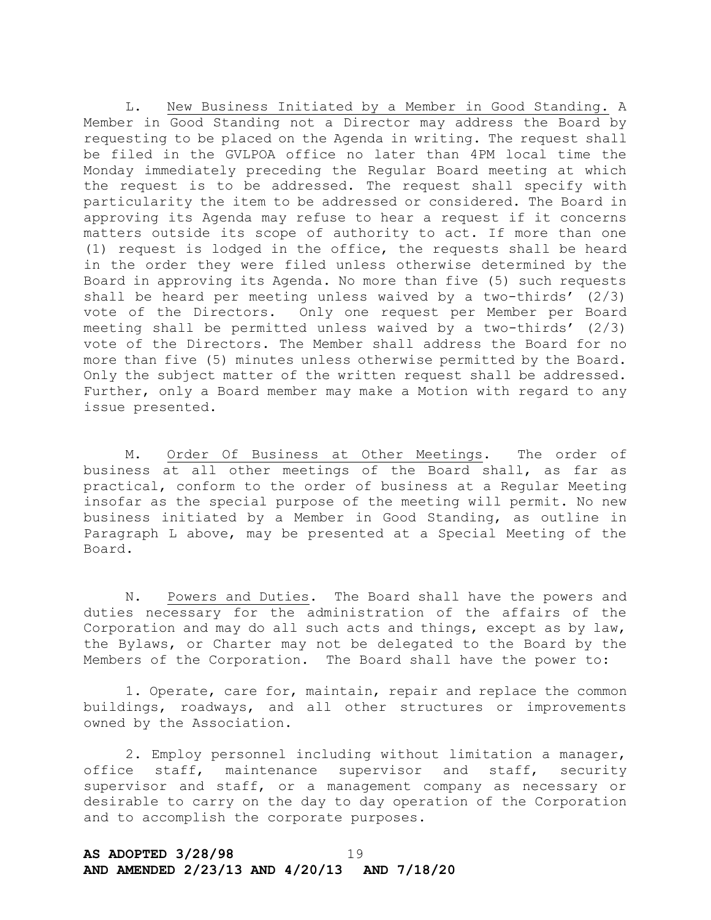L. New Business Initiated by a Member in Good Standing. A Member in Good Standing not a Director may address the Board by requesting to be placed on the Agenda in writing. The request shall be filed in the GVLPOA office no later than 4PM local time the Monday immediately preceding the Regular Board meeting at which the request is to be addressed. The request shall specify with particularity the item to be addressed or considered. The Board in approving its Agenda may refuse to hear a request if it concerns matters outside its scope of authority to act. If more than one (1) request is lodged in the office, the requests shall be heard in the order they were filed unless otherwise determined by the Board in approving its Agenda. No more than five (5) such requests shall be heard per meeting unless waived by a two-thirds'  $(2/3)$ vote of the Directors. Only one request per Member per Board meeting shall be permitted unless waived by a two-thirds'  $(2/3)$ vote of the Directors. The Member shall address the Board for no more than five (5) minutes unless otherwise permitted by the Board. Only the subject matter of the written request shall be addressed. Further, only a Board member may make a Motion with regard to any issue presented.

M. Order Of Business at Other Meetings. The order of business at all other meetings of the Board shall, as far as practical, conform to the order of business at a Regular Meeting insofar as the special purpose of the meeting will permit. No new business initiated by a Member in Good Standing, as outline in Paragraph L above, may be presented at a Special Meeting of the Board.

N. Powers and Duties. The Board shall have the powers and duties necessary for the administration of the affairs of the Corporation and may do all such acts and things, except as by law, the Bylaws, or Charter may not be delegated to the Board by the Members of the Corporation. The Board shall have the power to:

1. Operate, care for, maintain, repair and replace the common buildings, roadways, and all other structures or improvements owned by the Association.

2. Employ personnel including without limitation a manager, office staff, maintenance supervisor and staff, security supervisor and staff, or a management company as necessary or desirable to carry on the day to day operation of the Corporation and to accomplish the corporate purposes.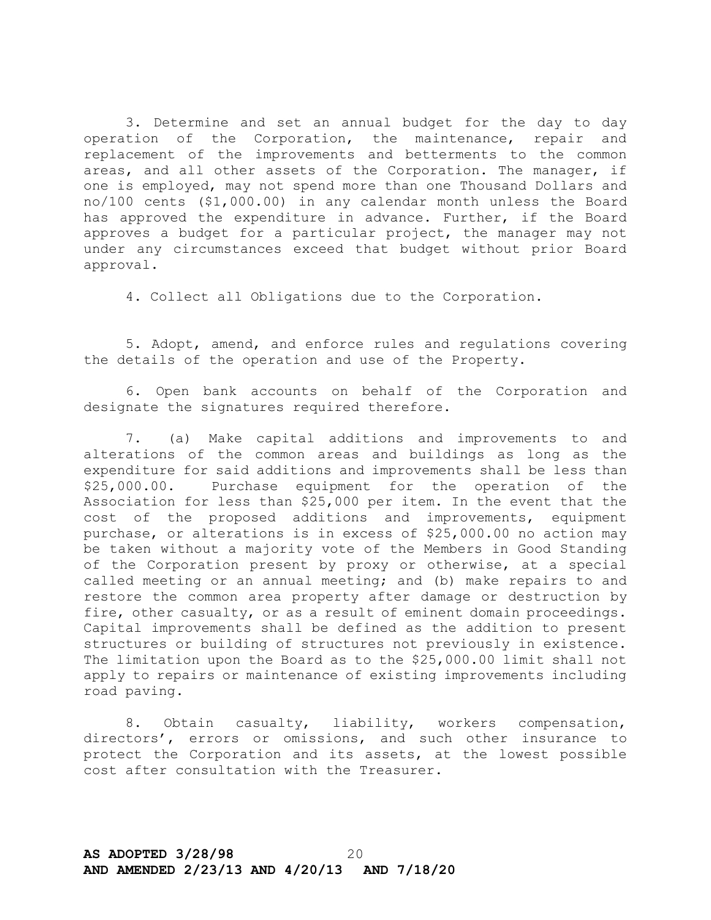3. Determine and set an annual budget for the day to day operation of the Corporation, the maintenance, repair and replacement of the improvements and betterments to the common areas, and all other assets of the Corporation. The manager, if one is employed, may not spend more than one Thousand Dollars and no/100 cents (\$1,000.00) in any calendar month unless the Board has approved the expenditure in advance. Further, if the Board approves a budget for a particular project, the manager may not under any circumstances exceed that budget without prior Board approval.

4. Collect all Obligations due to the Corporation.

5. Adopt, amend, and enforce rules and regulations covering the details of the operation and use of the Property.

6. Open bank accounts on behalf of the Corporation and designate the signatures required therefore.

7. (a) Make capital additions and improvements to and alterations of the common areas and buildings as long as the expenditure for said additions and improvements shall be less than \$25,000.00. Purchase equipment for the operation of the Association for less than \$25,000 per item. In the event that the cost of the proposed additions and improvements, equipment purchase, or alterations is in excess of \$25,000.00 no action may be taken without a majority vote of the Members in Good Standing of the Corporation present by proxy or otherwise, at a special called meeting or an annual meeting; and (b) make repairs to and restore the common area property after damage or destruction by fire, other casualty, or as a result of eminent domain proceedings. Capital improvements shall be defined as the addition to present structures or building of structures not previously in existence. The limitation upon the Board as to the \$25,000.00 limit shall not apply to repairs or maintenance of existing improvements including road paving.

8. Obtain casualty, liability, workers compensation, directors', errors or omissions, and such other insurance to protect the Corporation and its assets, at the lowest possible cost after consultation with the Treasurer.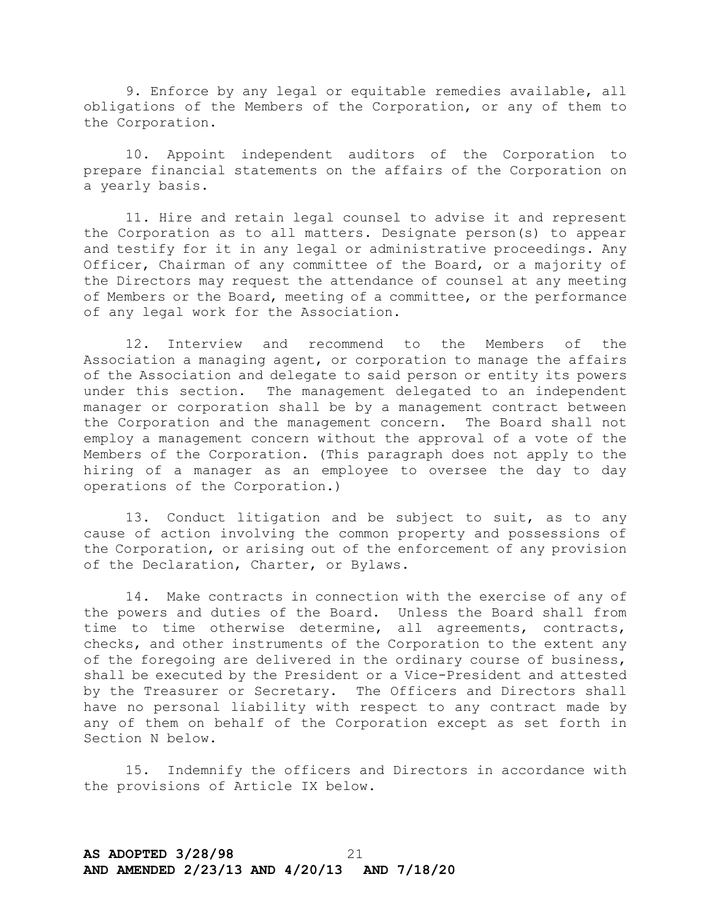9. Enforce by any legal or equitable remedies available, all obligations of the Members of the Corporation, or any of them to the Corporation.

10. Appoint independent auditors of the Corporation to prepare financial statements on the affairs of the Corporation on a yearly basis.

11. Hire and retain legal counsel to advise it and represent the Corporation as to all matters. Designate person(s) to appear and testify for it in any legal or administrative proceedings. Any Officer, Chairman of any committee of the Board, or a majority of the Directors may request the attendance of counsel at any meeting of Members or the Board, meeting of a committee, or the performance of any legal work for the Association.

12. Interview and recommend to the Members of the Association a managing agent, or corporation to manage the affairs of the Association and delegate to said person or entity its powers under this section. The management delegated to an independent manager or corporation shall be by a management contract between the Corporation and the management concern. The Board shall not employ a management concern without the approval of a vote of the Members of the Corporation. (This paragraph does not apply to the hiring of a manager as an employee to oversee the day to day operations of the Corporation.)

13. Conduct litigation and be subject to suit, as to any cause of action involving the common property and possessions of the Corporation, or arising out of the enforcement of any provision of the Declaration, Charter, or Bylaws.

14. Make contracts in connection with the exercise of any of the powers and duties of the Board. Unless the Board shall from time to time otherwise determine, all agreements, contracts, checks, and other instruments of the Corporation to the extent any of the foregoing are delivered in the ordinary course of business, shall be executed by the President or a Vice-President and attested by the Treasurer or Secretary. The Officers and Directors shall have no personal liability with respect to any contract made by any of them on behalf of the Corporation except as set forth in Section N below.

15. Indemnify the officers and Directors in accordance with the provisions of Article IX below.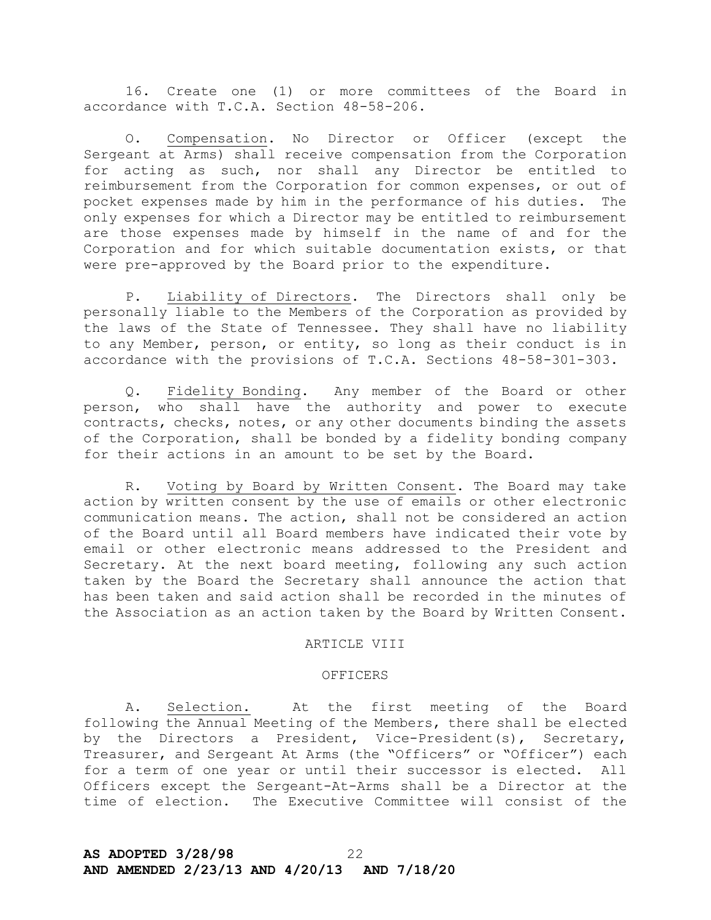16. Create one (1) or more committees of the Board in accordance with T.C.A. Section 48-58-206.

O. Compensation. No Director or Officer (except the Sergeant at Arms) shall receive compensation from the Corporation for acting as such, nor shall any Director be entitled to reimbursement from the Corporation for common expenses, or out of pocket expenses made by him in the performance of his duties. The only expenses for which a Director may be entitled to reimbursement are those expenses made by himself in the name of and for the Corporation and for which suitable documentation exists, or that were pre-approved by the Board prior to the expenditure.

P. Liability of Directors. The Directors shall only be personally liable to the Members of the Corporation as provided by the laws of the State of Tennessee. They shall have no liability to any Member, person, or entity, so long as their conduct is in accordance with the provisions of T.C.A. Sections 48-58-301-303.

Q. Fidelity Bonding. Any member of the Board or other person, who shall have the authority and power to execute contracts, checks, notes, or any other documents binding the assets of the Corporation, shall be bonded by a fidelity bonding company for their actions in an amount to be set by the Board.

R. Voting by Board by Written Consent. The Board may take action by written consent by the use of emails or other electronic communication means. The action, shall not be considered an action of the Board until all Board members have indicated their vote by email or other electronic means addressed to the President and Secretary. At the next board meeting, following any such action taken by the Board the Secretary shall announce the action that has been taken and said action shall be recorded in the minutes of the Association as an action taken by the Board by Written Consent.

## ARTICLE VIII

## OFFICERS

A. Selection. At the first meeting of the Board following the Annual Meeting of the Members, there shall be elected by the Directors a President, Vice-President(s), Secretary, Treasurer, and Sergeant At Arms (the "Officers" or "Officer") each for a term of one year or until their successor is elected. All Officers except the Sergeant-At-Arms shall be a Director at the time of election. The Executive Committee will consist of the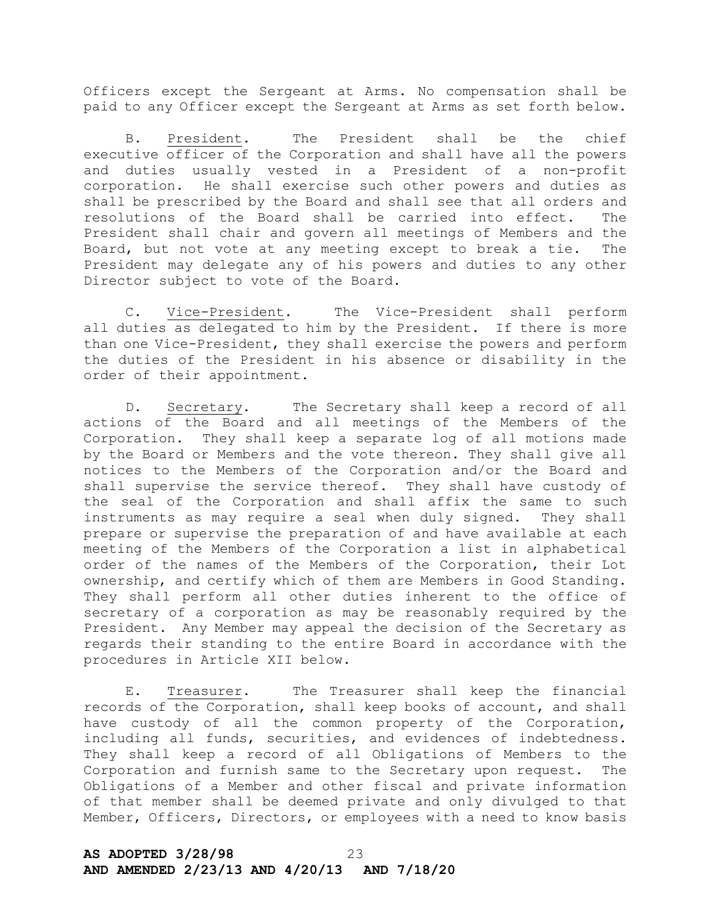Officers except the Sergeant at Arms. No compensation shall be paid to any Officer except the Sergeant at Arms as set forth below.

B. President. The President shall be the chief executive officer of the Corporation and shall have all the powers and duties usually vested in a President of a non-profit corporation. He shall exercise such other powers and duties as shall be prescribed by the Board and shall see that all orders and resolutions of the Board shall be carried into effect. The President shall chair and govern all meetings of Members and the Board, but not vote at any meeting except to break a tie. The President may delegate any of his powers and duties to any other Director subject to vote of the Board.

C. Vice-President. The Vice-President shall perform all duties as delegated to him by the President. If there is more than one Vice-President, they shall exercise the powers and perform the duties of the President in his absence or disability in the order of their appointment.

D. Secretary. The Secretary shall keep a record of all actions of the Board and all meetings of the Members of the Corporation. They shall keep a separate log of all motions made by the Board or Members and the vote thereon. They shall give all notices to the Members of the Corporation and/or the Board and shall supervise the service thereof. They shall have custody of the seal of the Corporation and shall affix the same to such instruments as may require a seal when duly signed. They shall prepare or supervise the preparation of and have available at each meeting of the Members of the Corporation a list in alphabetical order of the names of the Members of the Corporation, their Lot ownership, and certify which of them are Members in Good Standing. They shall perform all other duties inherent to the office of secretary of a corporation as may be reasonably required by the President. Any Member may appeal the decision of the Secretary as regards their standing to the entire Board in accordance with the procedures in Article XII below.

E. Treasurer. The Treasurer shall keep the financial records of the Corporation, shall keep books of account, and shall have custody of all the common property of the Corporation, including all funds, securities, and evidences of indebtedness. They shall keep a record of all Obligations of Members to the Corporation and furnish same to the Secretary upon request. The Obligations of a Member and other fiscal and private information of that member shall be deemed private and only divulged to that Member, Officers, Directors, or employees with a need to know basis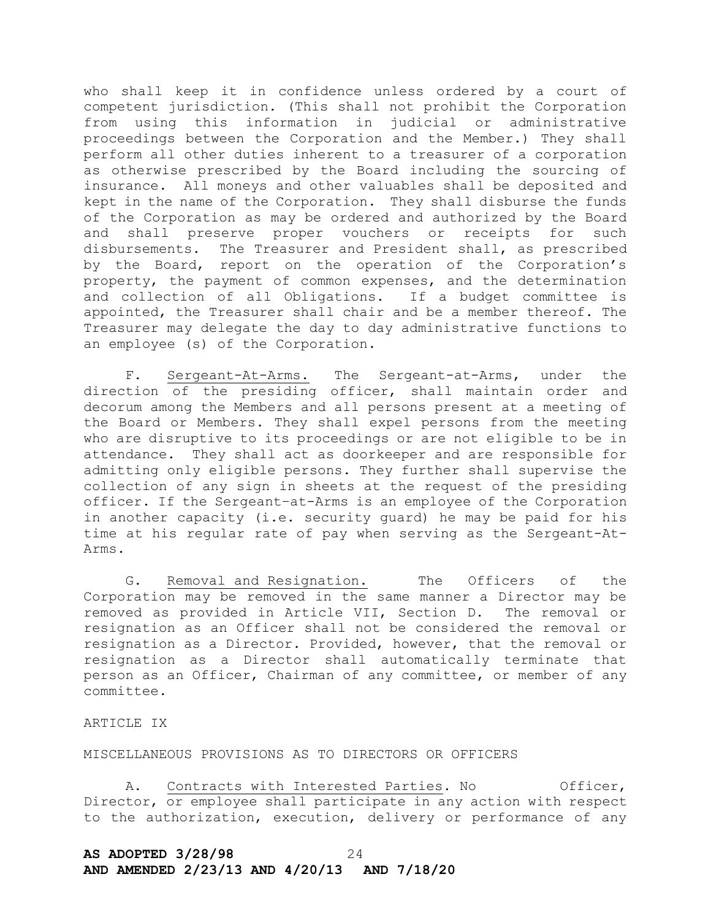who shall keep it in confidence unless ordered by a court of competent jurisdiction. (This shall not prohibit the Corporation from using this information in judicial or administrative proceedings between the Corporation and the Member.) They shall perform all other duties inherent to a treasurer of a corporation as otherwise prescribed by the Board including the sourcing of insurance. All moneys and other valuables shall be deposited and kept in the name of the Corporation. They shall disburse the funds of the Corporation as may be ordered and authorized by the Board and shall preserve proper vouchers or receipts for such disbursements. The Treasurer and President shall, as prescribed by the Board, report on the operation of the Corporation's property, the payment of common expenses, and the determination and collection of all Obligations. If a budget committee is appointed, the Treasurer shall chair and be a member thereof. The Treasurer may delegate the day to day administrative functions to an employee (s) of the Corporation.

F. Sergeant-At-Arms. The Sergeant-at-Arms, under the direction of the presiding officer, shall maintain order and decorum among the Members and all persons present at a meeting of the Board or Members. They shall expel persons from the meeting who are disruptive to its proceedings or are not eligible to be in attendance. They shall act as doorkeeper and are responsible for admitting only eligible persons. They further shall supervise the collection of any sign in sheets at the request of the presiding officer. If the Sergeant–at-Arms is an employee of the Corporation in another capacity (i.e. security guard) he may be paid for his time at his regular rate of pay when serving as the Sergeant-At-Arms.

G. Removal and Resignation. The Officers of the Corporation may be removed in the same manner a Director may be removed as provided in Article VII, Section D. The removal or resignation as an Officer shall not be considered the removal or resignation as a Director. Provided, however, that the removal or resignation as a Director shall automatically terminate that person as an Officer, Chairman of any committee, or member of any committee.

## ARTICLE IX

MISCELLANEOUS PROVISIONS AS TO DIRECTORS OR OFFICERS

A. Contracts with Interested Parties. No  $Officer,$ Director, or employee shall participate in any action with respect to the authorization, execution, delivery or performance of any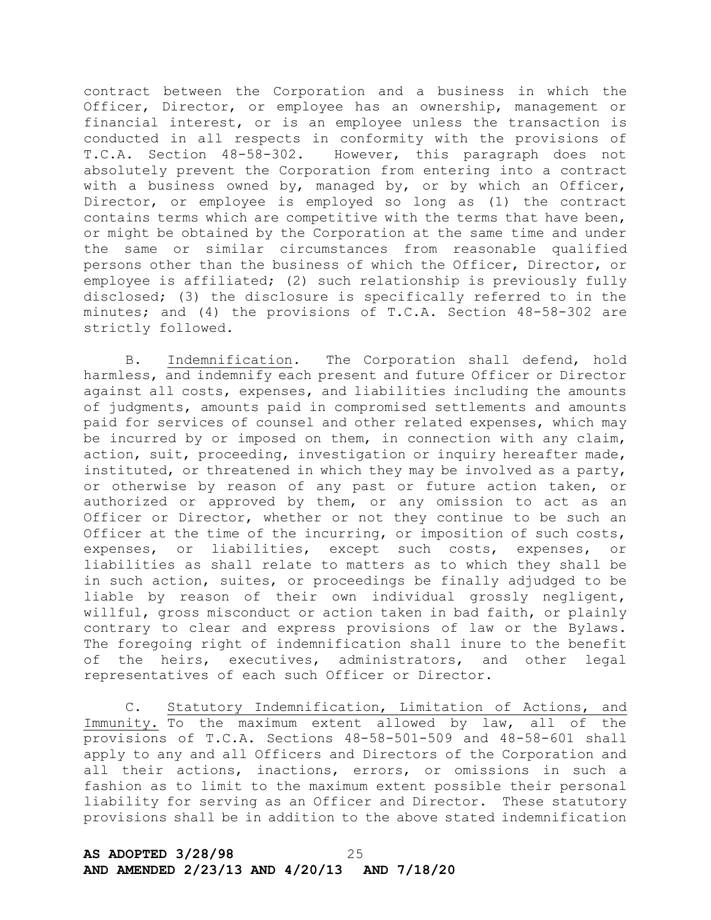contract between the Corporation and a business in which the Officer, Director, or employee has an ownership, management or financial interest, or is an employee unless the transaction is conducted in all respects in conformity with the provisions of T.C.A. Section 48-58-302. However, this paragraph does not absolutely prevent the Corporation from entering into a contract with a business owned by, managed by, or by which an Officer, Director, or employee is employed so long as (1) the contract contains terms which are competitive with the terms that have been, or might be obtained by the Corporation at the same time and under the same or similar circumstances from reasonable qualified persons other than the business of which the Officer, Director, or employee is affiliated; (2) such relationship is previously fully disclosed; (3) the disclosure is specifically referred to in the minutes; and (4) the provisions of T.C.A. Section 48-58-302 are strictly followed.

B. Indemnification. The Corporation shall defend, hold harmless, and indemnify each present and future Officer or Director against all costs, expenses, and liabilities including the amounts of judgments, amounts paid in compromised settlements and amounts paid for services of counsel and other related expenses, which may be incurred by or imposed on them, in connection with any claim, action, suit, proceeding, investigation or inquiry hereafter made, instituted, or threatened in which they may be involved as a party, or otherwise by reason of any past or future action taken, or authorized or approved by them, or any omission to act as an Officer or Director, whether or not they continue to be such an Officer at the time of the incurring, or imposition of such costs, expenses, or liabilities, except such costs, expenses, or liabilities as shall relate to matters as to which they shall be in such action, suites, or proceedings be finally adjudged to be liable by reason of their own individual grossly negligent, willful, gross misconduct or action taken in bad faith, or plainly contrary to clear and express provisions of law or the Bylaws. The foregoing right of indemnification shall inure to the benefit of the heirs, executives, administrators, and other legal representatives of each such Officer or Director.

C. Statutory Indemnification, Limitation of Actions, and Immunity. To the maximum extent allowed by law, all of the provisions of T.C.A. Sections 48-58-501-509 and 48-58-601 shall apply to any and all Officers and Directors of the Corporation and all their actions, inactions, errors, or omissions in such a fashion as to limit to the maximum extent possible their personal liability for serving as an Officer and Director. These statutory provisions shall be in addition to the above stated indemnification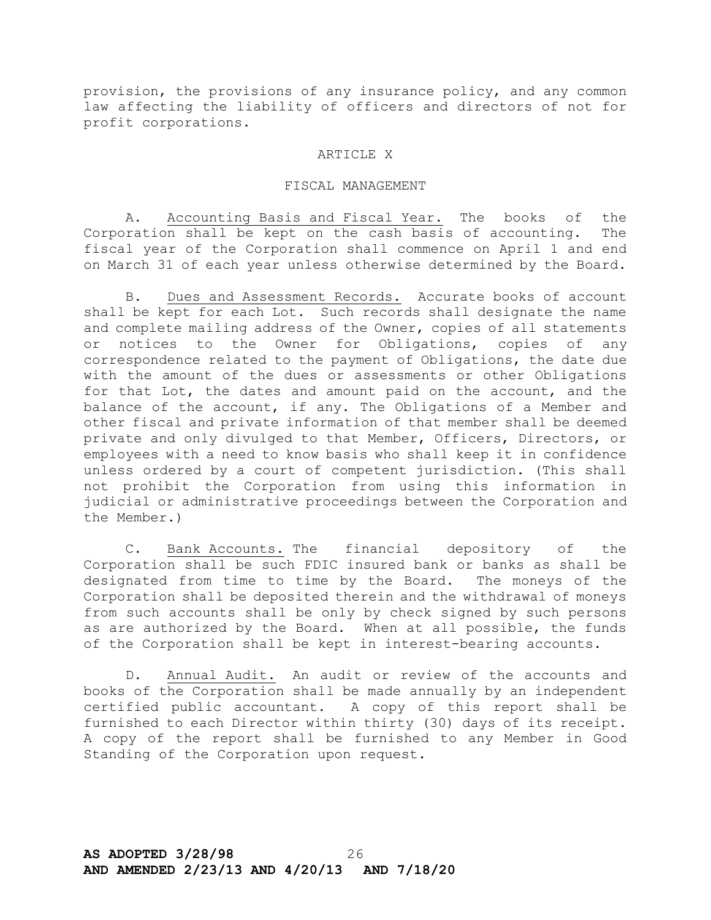provision, the provisions of any insurance policy, and any common law affecting the liability of officers and directors of not for profit corporations.

## ARTICLE X

## FISCAL MANAGEMENT

A. Accounting Basis and Fiscal Year. The books of the Corporation shall be kept on the cash basis of accounting. The fiscal year of the Corporation shall commence on April 1 and end on March 31 of each year unless otherwise determined by the Board.

B. Dues and Assessment Records. Accurate books of account shall be kept for each Lot. Such records shall designate the name and complete mailing address of the Owner, copies of all statements or notices to the Owner for Obligations, copies of any correspondence related to the payment of Obligations, the date due with the amount of the dues or assessments or other Obligations for that Lot, the dates and amount paid on the account, and the balance of the account, if any. The Obligations of a Member and other fiscal and private information of that member shall be deemed private and only divulged to that Member, Officers, Directors, or employees with a need to know basis who shall keep it in confidence unless ordered by a court of competent jurisdiction. (This shall not prohibit the Corporation from using this information in judicial or administrative proceedings between the Corporation and the Member.)

C. Bank Accounts. The financial depository of the Corporation shall be such FDIC insured bank or banks as shall be designated from time to time by the Board. The moneys of the Corporation shall be deposited therein and the withdrawal of moneys from such accounts shall be only by check signed by such persons as are authorized by the Board. When at all possible, the funds of the Corporation shall be kept in interest-bearing accounts.

D. Annual Audit. An audit or review of the accounts and books of the Corporation shall be made annually by an independent certified public accountant. A copy of this report shall be furnished to each Director within thirty (30) days of its receipt. A copy of the report shall be furnished to any Member in Good Standing of the Corporation upon request.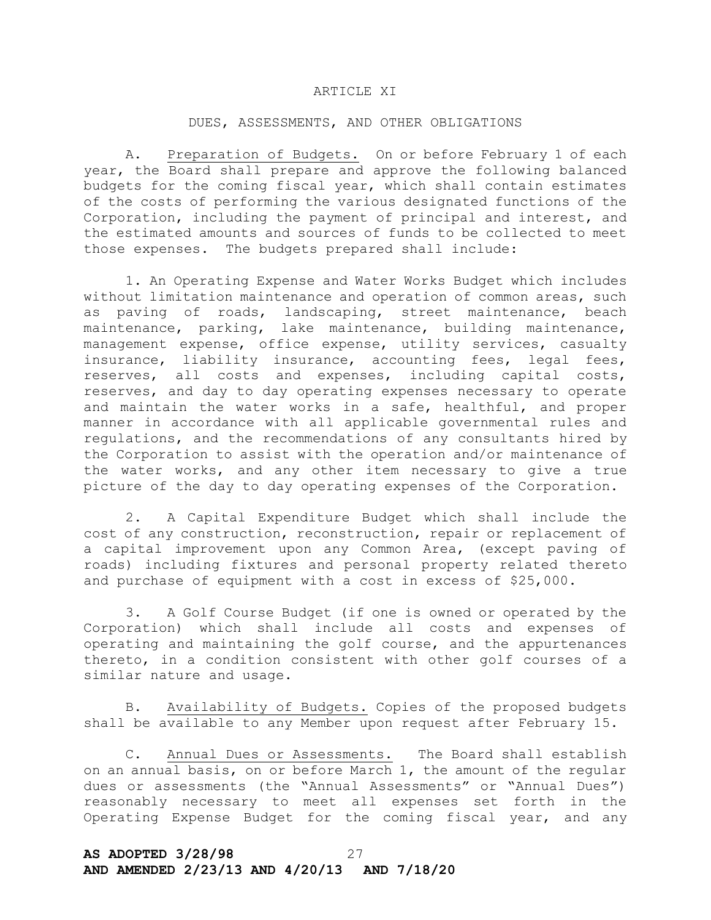## ARTICLE XI

### DUES, ASSESSMENTS, AND OTHER OBLIGATIONS

A. Preparation of Budgets. On or before February 1 of each year, the Board shall prepare and approve the following balanced budgets for the coming fiscal year, which shall contain estimates of the costs of performing the various designated functions of the Corporation, including the payment of principal and interest, and the estimated amounts and sources of funds to be collected to meet those expenses. The budgets prepared shall include:

1. An Operating Expense and Water Works Budget which includes without limitation maintenance and operation of common areas, such as paving of roads, landscaping, street maintenance, beach maintenance, parking, lake maintenance, building maintenance, management expense, office expense, utility services, casualty insurance, liability insurance, accounting fees, legal fees, reserves, all costs and expenses, including capital costs, reserves, and day to day operating expenses necessary to operate and maintain the water works in a safe, healthful, and proper manner in accordance with all applicable governmental rules and regulations, and the recommendations of any consultants hired by the Corporation to assist with the operation and/or maintenance of the water works, and any other item necessary to give a true picture of the day to day operating expenses of the Corporation.

2. A Capital Expenditure Budget which shall include the cost of any construction, reconstruction, repair or replacement of a capital improvement upon any Common Area, (except paving of roads) including fixtures and personal property related thereto and purchase of equipment with a cost in excess of \$25,000.

3. A Golf Course Budget (if one is owned or operated by the Corporation) which shall include all costs and expenses of operating and maintaining the golf course, and the appurtenances thereto, in a condition consistent with other golf courses of a similar nature and usage.

B. Availability of Budgets. Copies of the proposed budgets shall be available to any Member upon request after February 15.

C. Annual Dues or Assessments. The Board shall establish on an annual basis, on or before March 1, the amount of the regular dues or assessments (the "Annual Assessments" or "Annual Dues") reasonably necessary to meet all expenses set forth in the Operating Expense Budget for the coming fiscal year, and any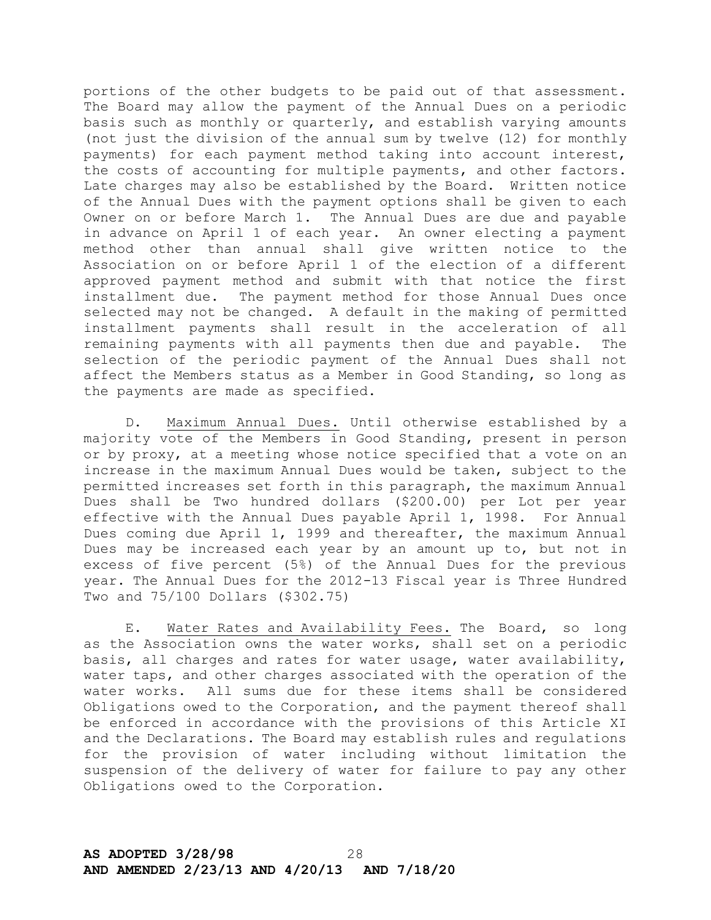portions of the other budgets to be paid out of that assessment. The Board may allow the payment of the Annual Dues on a periodic basis such as monthly or quarterly, and establish varying amounts (not just the division of the annual sum by twelve (12) for monthly payments) for each payment method taking into account interest, the costs of accounting for multiple payments, and other factors. Late charges may also be established by the Board. Written notice of the Annual Dues with the payment options shall be given to each Owner on or before March 1. The Annual Dues are due and payable in advance on April 1 of each year. An owner electing a payment method other than annual shall give written notice to the Association on or before April 1 of the election of a different approved payment method and submit with that notice the first installment due. The payment method for those Annual Dues once selected may not be changed. A default in the making of permitted installment payments shall result in the acceleration of all remaining payments with all payments then due and payable. The selection of the periodic payment of the Annual Dues shall not affect the Members status as a Member in Good Standing, so long as the payments are made as specified.

D. Maximum Annual Dues. Until otherwise established by a majority vote of the Members in Good Standing, present in person or by proxy, at a meeting whose notice specified that a vote on an increase in the maximum Annual Dues would be taken, subject to the permitted increases set forth in this paragraph, the maximum Annual Dues shall be Two hundred dollars (\$200.00) per Lot per year effective with the Annual Dues payable April 1, 1998. For Annual Dues coming due April 1, 1999 and thereafter, the maximum Annual Dues may be increased each year by an amount up to, but not in excess of five percent (5%) of the Annual Dues for the previous year. The Annual Dues for the 2012-13 Fiscal year is Three Hundred Two and 75/100 Dollars (\$302.75)

E. Water Rates and Availability Fees. The Board, so long as the Association owns the water works, shall set on a periodic basis, all charges and rates for water usage, water availability, water taps, and other charges associated with the operation of the water works. All sums due for these items shall be considered Obligations owed to the Corporation, and the payment thereof shall be enforced in accordance with the provisions of this Article XI and the Declarations. The Board may establish rules and regulations for the provision of water including without limitation the suspension of the delivery of water for failure to pay any other Obligations owed to the Corporation.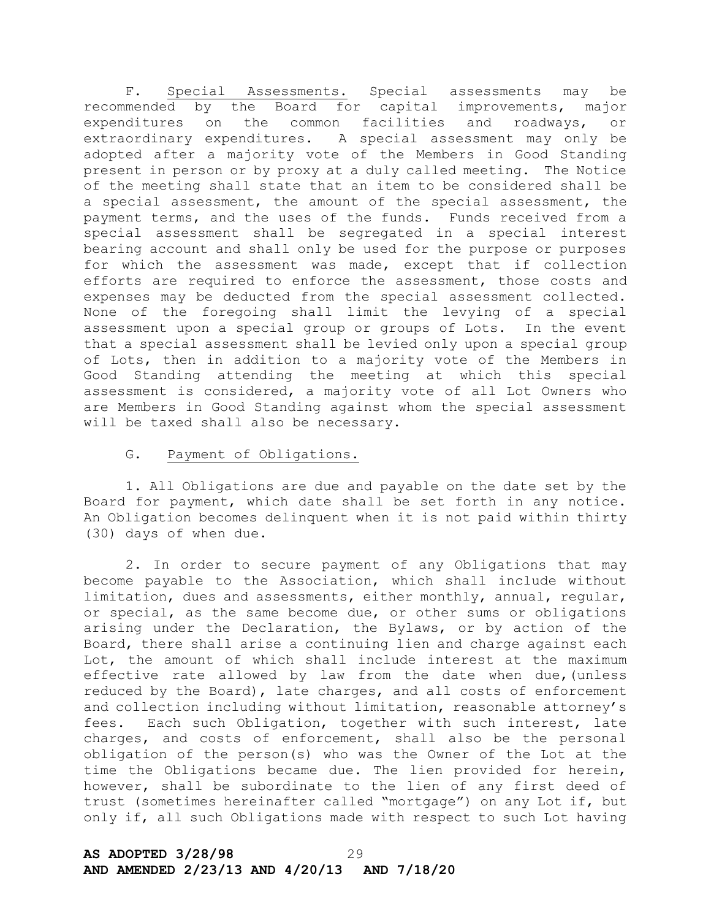F. Special Assessments. Special assessments may be recommended by the Board for capital improvements, major expenditures on the common facilities and roadways, or extraordinary expenditures. A special assessment may only be adopted after a majority vote of the Members in Good Standing present in person or by proxy at a duly called meeting. The Notice of the meeting shall state that an item to be considered shall be a special assessment, the amount of the special assessment, the payment terms, and the uses of the funds. Funds received from a special assessment shall be segregated in a special interest bearing account and shall only be used for the purpose or purposes for which the assessment was made, except that if collection efforts are required to enforce the assessment, those costs and expenses may be deducted from the special assessment collected. None of the foregoing shall limit the levying of a special assessment upon a special group or groups of Lots. In the event that a special assessment shall be levied only upon a special group of Lots, then in addition to a majority vote of the Members in Good Standing attending the meeting at which this special assessment is considered, a majority vote of all Lot Owners who are Members in Good Standing against whom the special assessment will be taxed shall also be necessary.

## G. Payment of Obligations.

1. All Obligations are due and payable on the date set by the Board for payment, which date shall be set forth in any notice. An Obligation becomes delinquent when it is not paid within thirty (30) days of when due.

2. In order to secure payment of any Obligations that may become payable to the Association, which shall include without limitation, dues and assessments, either monthly, annual, regular, or special, as the same become due, or other sums or obligations arising under the Declaration, the Bylaws, or by action of the Board, there shall arise a continuing lien and charge against each Lot, the amount of which shall include interest at the maximum effective rate allowed by law from the date when due,(unless reduced by the Board), late charges, and all costs of enforcement and collection including without limitation, reasonable attorney's fees. Each such Obligation, together with such interest, late charges, and costs of enforcement, shall also be the personal obligation of the person(s) who was the Owner of the Lot at the time the Obligations became due. The lien provided for herein, however, shall be subordinate to the lien of any first deed of trust (sometimes hereinafter called "mortgage") on any Lot if, but only if, all such Obligations made with respect to such Lot having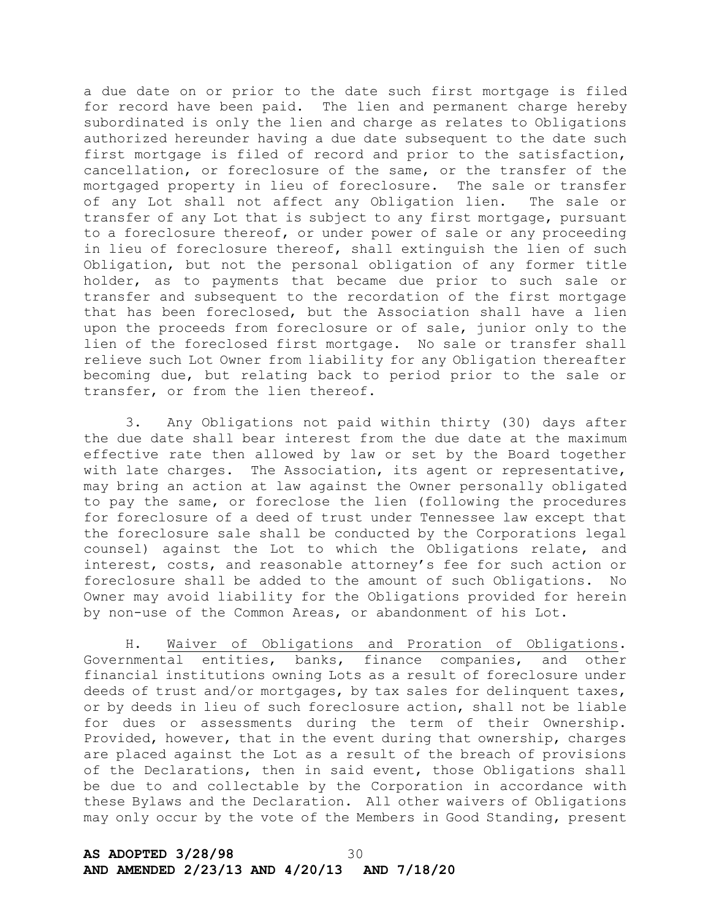a due date on or prior to the date such first mortgage is filed for record have been paid. The lien and permanent charge hereby subordinated is only the lien and charge as relates to Obligations authorized hereunder having a due date subsequent to the date such first mortgage is filed of record and prior to the satisfaction, cancellation, or foreclosure of the same, or the transfer of the mortgaged property in lieu of foreclosure. The sale or transfer of any Lot shall not affect any Obligation lien. The sale or transfer of any Lot that is subject to any first mortgage, pursuant to a foreclosure thereof, or under power of sale or any proceeding in lieu of foreclosure thereof, shall extinguish the lien of such Obligation, but not the personal obligation of any former title holder, as to payments that became due prior to such sale or transfer and subsequent to the recordation of the first mortgage that has been foreclosed, but the Association shall have a lien upon the proceeds from foreclosure or of sale, junior only to the lien of the foreclosed first mortgage. No sale or transfer shall relieve such Lot Owner from liability for any Obligation thereafter becoming due, but relating back to period prior to the sale or transfer, or from the lien thereof.

3. Any Obligations not paid within thirty (30) days after the due date shall bear interest from the due date at the maximum effective rate then allowed by law or set by the Board together with late charges. The Association, its agent or representative, may bring an action at law against the Owner personally obligated to pay the same, or foreclose the lien (following the procedures for foreclosure of a deed of trust under Tennessee law except that the foreclosure sale shall be conducted by the Corporations legal counsel) against the Lot to which the Obligations relate, and interest, costs, and reasonable attorney's fee for such action or foreclosure shall be added to the amount of such Obligations. No Owner may avoid liability for the Obligations provided for herein by non-use of the Common Areas, or abandonment of his Lot.

H. Waiver of Obligations and Proration of Obligations. Governmental entities, banks, finance companies, and other financial institutions owning Lots as a result of foreclosure under deeds of trust and/or mortgages, by tax sales for delinquent taxes, or by deeds in lieu of such foreclosure action, shall not be liable for dues or assessments during the term of their Ownership. Provided, however, that in the event during that ownership, charges are placed against the Lot as a result of the breach of provisions of the Declarations, then in said event, those Obligations shall be due to and collectable by the Corporation in accordance with these Bylaws and the Declaration. All other waivers of Obligations may only occur by the vote of the Members in Good Standing, present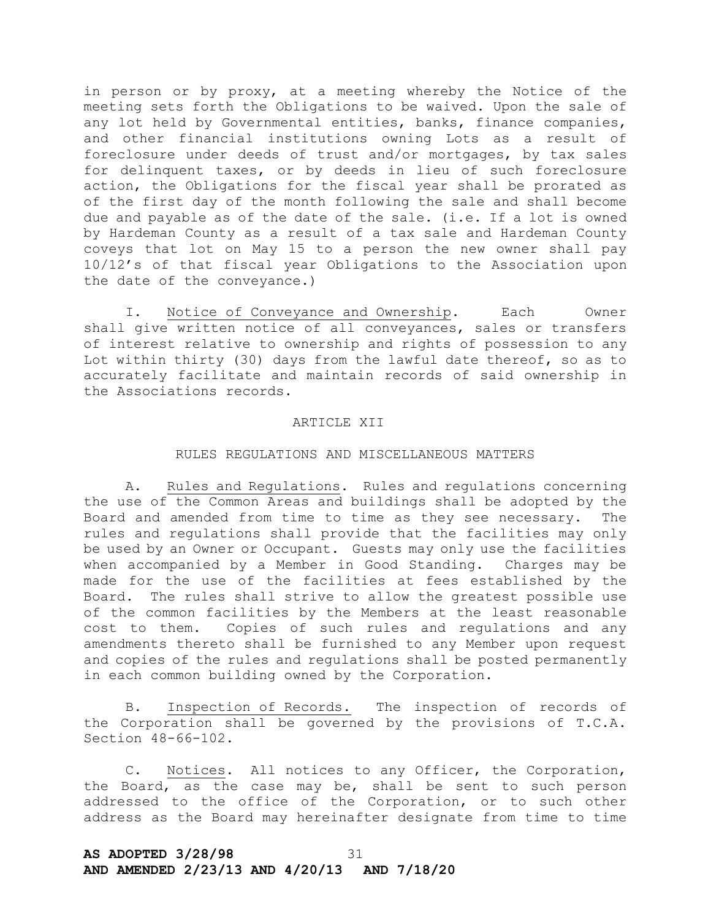in person or by proxy, at a meeting whereby the Notice of the meeting sets forth the Obligations to be waived. Upon the sale of any lot held by Governmental entities, banks, finance companies, and other financial institutions owning Lots as a result of foreclosure under deeds of trust and/or mortgages, by tax sales for delinquent taxes, or by deeds in lieu of such foreclosure action, the Obligations for the fiscal year shall be prorated as of the first day of the month following the sale and shall become due and payable as of the date of the sale. (i.e. If a lot is owned by Hardeman County as a result of a tax sale and Hardeman County coveys that lot on May 15 to a person the new owner shall pay 10/12's of that fiscal year Obligations to the Association upon the date of the conveyance.)

I. Notice of Conveyance and Ownership. Each Owner shall give written notice of all conveyances, sales or transfers of interest relative to ownership and rights of possession to any Lot within thirty (30) days from the lawful date thereof, so as to accurately facilitate and maintain records of said ownership in the Associations records.

## ARTICLE XII

## RULES REGULATIONS AND MISCELLANEOUS MATTERS

A. Rules and Regulations. Rules and regulations concerning the use of the Common Areas and buildings shall be adopted by the Board and amended from time to time as they see necessary. The rules and regulations shall provide that the facilities may only be used by an Owner or Occupant. Guests may only use the facilities when accompanied by a Member in Good Standing. Charges may be made for the use of the facilities at fees established by the Board. The rules shall strive to allow the greatest possible use of the common facilities by the Members at the least reasonable cost to them. Copies of such rules and regulations and any amendments thereto shall be furnished to any Member upon request and copies of the rules and regulations shall be posted permanently in each common building owned by the Corporation.

B. Inspection of Records. The inspection of records of the Corporation shall be governed by the provisions of T.C.A. Section 48-66-102.

C. Notices. All notices to any Officer, the Corporation, the Board, as the case may be, shall be sent to such person addressed to the office of the Corporation, or to such other address as the Board may hereinafter designate from time to time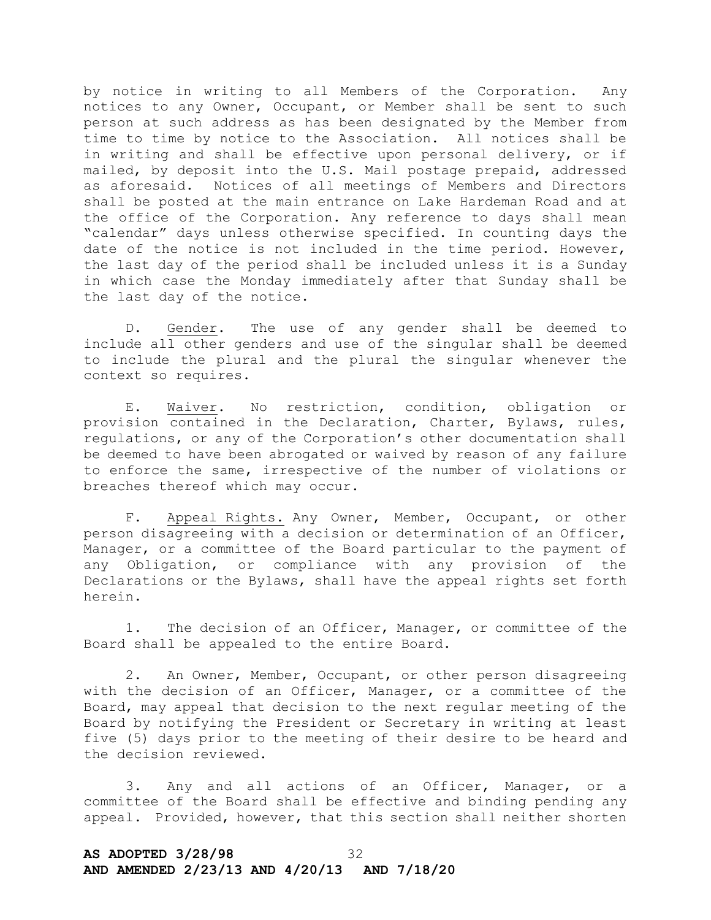by notice in writing to all Members of the Corporation. Any notices to any Owner, Occupant, or Member shall be sent to such person at such address as has been designated by the Member from time to time by notice to the Association. All notices shall be in writing and shall be effective upon personal delivery, or if mailed, by deposit into the U.S. Mail postage prepaid, addressed as aforesaid. Notices of all meetings of Members and Directors shall be posted at the main entrance on Lake Hardeman Road and at the office of the Corporation. Any reference to days shall mean "calendar" days unless otherwise specified. In counting days the date of the notice is not included in the time period. However, the last day of the period shall be included unless it is a Sunday in which case the Monday immediately after that Sunday shall be the last day of the notice.

D. Gender. The use of any gender shall be deemed to include all other genders and use of the singular shall be deemed to include the plural and the plural the singular whenever the context so requires.

E. Waiver. No restriction, condition, obligation or provision contained in the Declaration, Charter, Bylaws, rules, regulations, or any of the Corporation's other documentation shall be deemed to have been abrogated or waived by reason of any failure to enforce the same, irrespective of the number of violations or breaches thereof which may occur.

F. Appeal Rights. Any Owner, Member, Occupant, or other person disagreeing with a decision or determination of an Officer, Manager, or a committee of the Board particular to the payment of any Obligation, or compliance with any provision of the Declarations or the Bylaws, shall have the appeal rights set forth herein.

1. The decision of an Officer, Manager, or committee of the Board shall be appealed to the entire Board.

2. An Owner, Member, Occupant, or other person disagreeing with the decision of an Officer, Manager, or a committee of the Board, may appeal that decision to the next regular meeting of the Board by notifying the President or Secretary in writing at least five (5) days prior to the meeting of their desire to be heard and the decision reviewed.

3. Any and all actions of an Officer, Manager, or a committee of the Board shall be effective and binding pending any appeal. Provided, however, that this section shall neither shorten